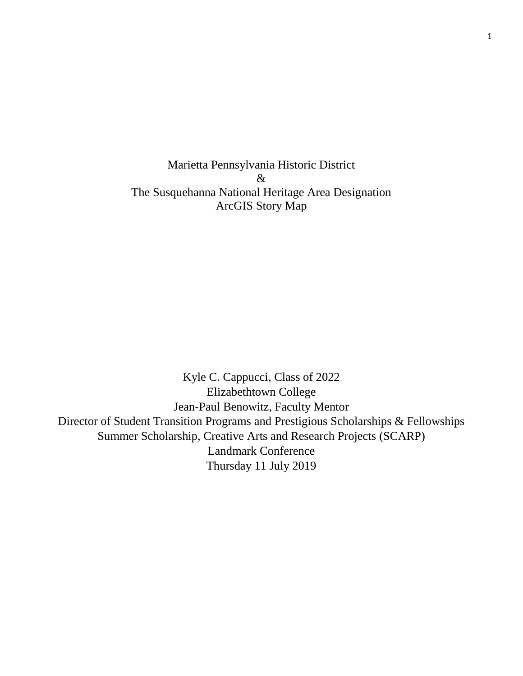Marietta Pennsylvania Historic District & The Susquehanna National Heritage Area Designation ArcGIS Story Map

Kyle C. Cappucci, Class of 2022 Elizabethtown College Jean-Paul Benowitz, Faculty Mentor Director of Student Transition Programs and Prestigious Scholarships & Fellowships Summer Scholarship, Creative Arts and Research Projects (SCARP) Landmark Conference Thursday 11 July 2019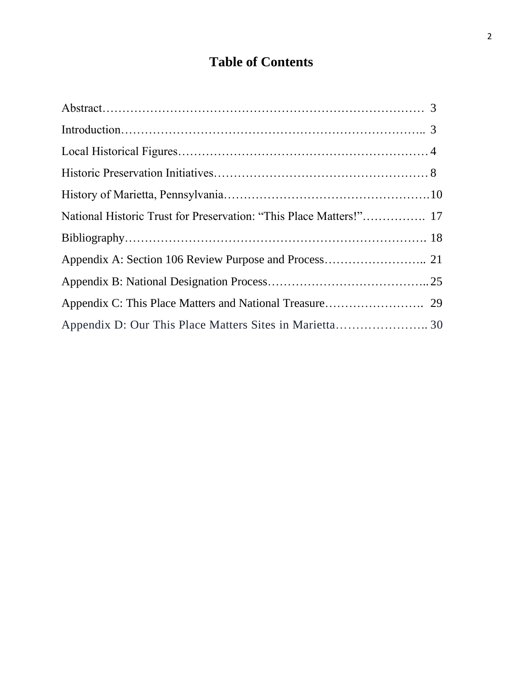# **Table of Contents**

| National Historic Trust for Preservation: "This Place Matters!" 17 |  |
|--------------------------------------------------------------------|--|
|                                                                    |  |
|                                                                    |  |
|                                                                    |  |
|                                                                    |  |
|                                                                    |  |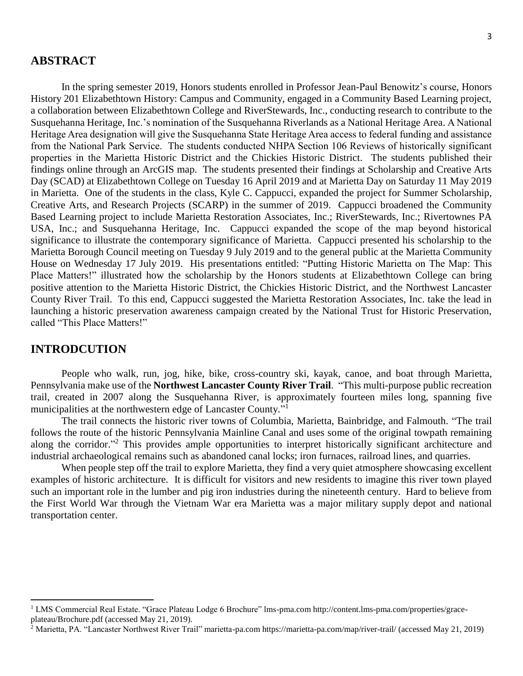#### **ABSTRACT**

In the spring semester 2019, Honors students enrolled in Professor Jean-Paul Benowitz's course, Honors History 201 Elizabethtown History: Campus and Community, engaged in a Community Based Learning project, a collaboration between Elizabethtown College and RiverStewards, Inc., conducting research to contribute to the Susquehanna Heritage, Inc.'s nomination of the Susquehanna Riverlands as a National Heritage Area. A National Heritage Area designation will give the Susquehanna State Heritage Area access to federal funding and assistance from the National Park Service. The students conducted NHPA Section 106 Reviews of historically significant properties in the Marietta Historic District and the Chickies Historic District. The students published their findings online through an ArcGIS map. The students presented their findings at Scholarship and Creative Arts Day (SCAD) at Elizabethtown College on Tuesday 16 April 2019 and at Marietta Day on Saturday 11 May 2019 in Marietta. One of the students in the class, Kyle C. Cappucci, expanded the project for Summer Scholarship, Creative Arts, and Research Projects (SCARP) in the summer of 2019. Cappucci broadened the Community Based Learning project to include Marietta Restoration Associates, Inc.; RiverStewards, Inc.; Rivertownes PA USA, Inc.; and Susquehanna Heritage, Inc. Cappucci expanded the scope of the map beyond historical significance to illustrate the contemporary significance of Marietta. Cappucci presented his scholarship to the Marietta Borough Council meeting on Tuesday 9 July 2019 and to the general public at the Marietta Community House on Wednesday 17 July 2019. His presentations entitled: "Putting Historic Marietta on The Map: This Place Matters!" illustrated how the scholarship by the Honors students at Elizabethtown College can bring positive attention to the Marietta Historic District, the Chickies Historic District, and the Northwest Lancaster County River Trail. To this end, Cappucci suggested the Marietta Restoration Associates, Inc. take the lead in launching a historic preservation awareness campaign created by the National Trust for Historic Preservation, called "This Place Matters!"

#### **INTRODCUTION**

 $\overline{\phantom{a}}$ 

People who walk, run, jog, hike, bike, cross-country ski, kayak, canoe, and boat through Marietta, Pennsylvania make use of the **Northwest Lancaster County River Trail**. "This multi-purpose public recreation trail, created in 2007 along the Susquehanna River, is approximately fourteen miles long, spanning five municipalities at the northwestern edge of Lancaster County."<sup>1</sup>

The trail connects the historic river towns of Columbia, Marietta, Bainbridge, and Falmouth. "The trail follows the route of the historic Pennsylvania Mainline Canal and uses some of the original towpath remaining along the corridor."<sup>2</sup> This provides ample opportunities to interpret historically significant architecture and industrial archaeological remains such as abandoned canal locks; iron furnaces, railroad lines, and quarries.

When people step off the trail to explore Marietta, they find a very quiet atmosphere showcasing excellent examples of historic architecture. It is difficult for visitors and new residents to imagine this river town played such an important role in the lumber and pig iron industries during the nineteenth century. Hard to believe from the First World War through the Vietnam War era Marietta was a major military supply depot and national transportation center.

<sup>1</sup> LMS Commercial Real Estate. "Grace Plateau Lodge 6 Brochure" lms-pma.com http://content.lms-pma.com/properties/graceplateau/Brochure.pdf (accessed May 21, 2019).

<sup>2</sup> Marietta, PA. "Lancaster Northwest River Trail" marietta-pa.com https://marietta-pa.com/map/river-trail/ (accessed May 21, 2019)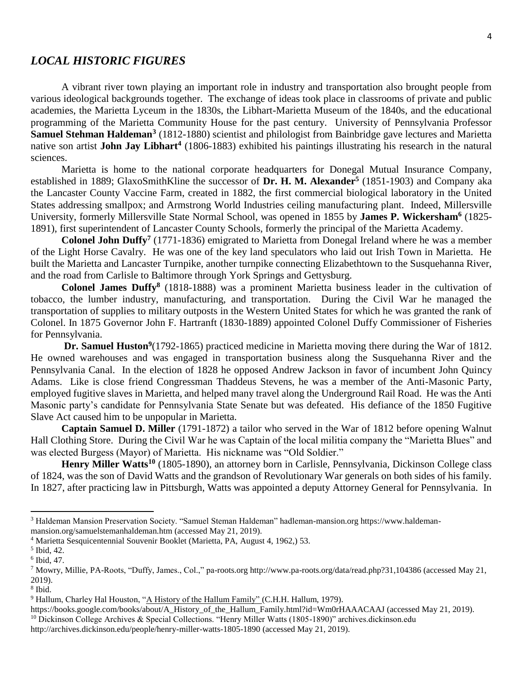#### *LOCAL HISTORIC FIGURES*

A vibrant river town playing an important role in industry and transportation also brought people from various ideological backgrounds together. The exchange of ideas took place in classrooms of private and public academies, the Marietta Lyceum in the 1830s, the Libhart-Marietta Museum of the 1840s, and the educational programming of the Marietta Community House for the past century. University of Pennsylvania Professor **Samuel Stehman Haldeman<sup>3</sup>** (1812-1880) scientist and philologist from Bainbridge gave lectures and Marietta native son artist **John Jay Libhart<sup>4</sup>** (1806-1883) exhibited his paintings illustrating his research in the natural sciences.

Marietta is home to the national corporate headquarters for Donegal Mutual Insurance Company, established in 1889; GlaxoSmithKline the successor of **Dr. H. M. Alexander<sup>5</sup>** (1851-1903) and Company aka the Lancaster County Vaccine Farm, created in 1882, the first commercial biological laboratory in the United States addressing smallpox; and Armstrong World Industries ceiling manufacturing plant. Indeed, Millersville University, formerly Millersville State Normal School, was opened in 1855 by **James P. Wickersham<sup>6</sup>** (1825- 1891), first superintendent of Lancaster County Schools, formerly the principal of the Marietta Academy.

**Colonel John Duffy<sup>7</sup>** (1771-1836) emigrated to Marietta from Donegal Ireland where he was a member of the Light Horse Cavalry. He was one of the key land speculators who laid out Irish Town in Marietta. He built the Marietta and Lancaster Turnpike, another turnpike connecting Elizabethtown to the Susquehanna River, and the road from Carlisle to Baltimore through York Springs and Gettysburg.

**Colonel James Duffy<sup>8</sup>** (1818-1888) was a prominent Marietta business leader in the cultivation of tobacco, the lumber industry, manufacturing, and transportation. During the Civil War he managed the transportation of supplies to military outposts in the Western United States for which he was granted the rank of Colonel. In 1875 Governor John F. Hartranft (1830-1889) appointed Colonel Duffy Commissioner of Fisheries for Pennsylvania.

**Dr. Samuel Huston<sup>9</sup>(1792-1865)** practiced medicine in Marietta moving there during the War of 1812. He owned warehouses and was engaged in transportation business along the Susquehanna River and the Pennsylvania Canal. In the election of 1828 he opposed Andrew Jackson in favor of incumbent John Quincy Adams. Like is close friend Congressman Thaddeus Stevens, he was a member of the Anti-Masonic Party, employed fugitive slaves in Marietta, and helped many travel along the Underground Rail Road. He was the Anti Masonic party's candidate for Pennsylvania State Senate but was defeated. His defiance of the 1850 Fugitive Slave Act caused him to be unpopular in Marietta.

**Captain Samuel D. Miller** (1791-1872) a tailor who served in the War of 1812 before opening Walnut Hall Clothing Store. During the Civil War he was Captain of the local militia company the "Marietta Blues" and was elected Burgess (Mayor) of Marietta. His nickname was "Old Soldier."

**Henry Miller Watts<sup>10</sup>** (1805-1890), an attorney born in Carlisle, Pennsylvania, Dickinson College class of 1824, was the son of David Watts and the grandson of Revolutionary War generals on both sides of his family. In 1827, after practicing law in Pittsburgh, Watts was appointed a deputy Attorney General for Pennsylvania. In

<sup>3</sup> Haldeman Mansion Preservation Society. "Samuel Steman Haldeman" hadleman-mansion.org https://www.haldemanmansion.org/samuelstemanhaldeman.htm (accessed May 21, 2019).

<sup>4</sup> Marietta Sesquicentennial Souvenir Booklet (Marietta, PA, August 4, 1962,) 53.

<sup>5</sup> Ibid, 42.

<sup>6</sup> Ibid, 47.

<sup>7</sup> Mowry, Millie, PA-Roots, "Duffy, James., Col.," pa-roots.org http://www.pa-roots.org/data/read.php?31,104386 (accessed May 21, 2019).

<sup>8</sup> Ibid.

<sup>&</sup>lt;sup>9</sup> Hallum, Charley Hal Houston, "A History of the Hallum Family" (C.H.H. Hallum, 1979).

https://books.google.com/books/about/A\_History\_of\_the\_Hallum\_Family.html?id=Wm0rHAAACAAJ (accessed May 21, 2019). <sup>10</sup> Dickinson College Archives & Special Collections. "Henry Miller Watts (1805-1890)" archives.dickinson.edu http://archives.dickinson.edu/people/henry-miller-watts-1805-1890 (accessed May 21, 2019).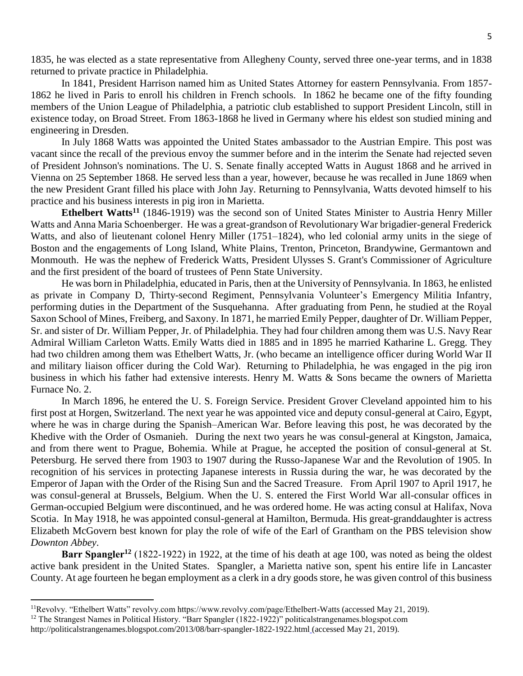1835, he was elected as a state representative from Allegheny County, served three one-year terms, and in 1838 returned to private practice in Philadelphia.

In 1841, President Harrison named him as United States Attorney for eastern Pennsylvania. From 1857- 1862 he lived in Paris to enroll his children in French schools. In 1862 he became one of the fifty founding members of the Union League of Philadelphia, a patriotic club established to support President Lincoln, still in existence today, on Broad Street. From 1863-1868 he lived in Germany where his eldest son studied mining and engineering in Dresden.

In July 1868 Watts was appointed the United States ambassador to the Austrian Empire. This post was vacant since the recall of the previous envoy the summer before and in the interim the Senate had rejected seven of President Johnson's nominations. The U. S. Senate finally accepted Watts in August 1868 and he arrived in Vienna on 25 September 1868. He served less than a year, however, because he was recalled in June 1869 when the new President Grant filled his place with John Jay. Returning to Pennsylvania, Watts devoted himself to his practice and his business interests in pig iron in Marietta.

**Ethelbert Watts<sup>11</sup>** (1846-1919) was the second son of [United States Minister to Austria](https://en.wikipedia.org/wiki/United_States_Ambassador_to_Austria) Henry Miller Watts and Anna Maria Schoenberger. He was a great-grandson of [Revolutionary War](https://en.wikipedia.org/wiki/American_Revolutionary_War) [brigadier-general](https://en.wikipedia.org/wiki/Brigadier_general_(United_States)) Frederick Watts, and also of lieutenant colonel Henry Miller (1751–1824), who led colonial army units in the siege of Boston and the engagements of Long Island, White Plains, Trenton, Princeton, Brandywine, Germantown and Monmouth. He was the nephew of [Frederick Watts,](https://en.wikipedia.org/wiki/Frederick_Watts) President [Ulysses S. Grant's](https://en.wikipedia.org/wiki/Ulysses_S._Grant) Commissioner of [Agriculture](https://en.wikipedia.org/wiki/United_States_Department_of_Agriculture) and the first president of the board of trustees of [Penn State University.](https://en.wikipedia.org/wiki/Pennsylvania_State_University)

He was born i[n Philadelphia,](https://en.wikipedia.org/wiki/Philadelphia) educated i[n Paris,](https://en.wikipedia.org/wiki/Paris,_France) then at the [University of Pennsylvania.](https://en.wikipedia.org/wiki/University_of_Pennsylvania) In 1863, he enlisted as private in Company D, [Thirty-second Regiment, Pennsylvania Volunteer's](https://en.wikipedia.org/wiki/3rd_Pennsylvania_Reserve_Regiment) Emergency Militia Infantry, performing duties in the [Department of the Susquehanna.](https://en.wikipedia.org/wiki/Department_of_the_Susquehanna) After graduating from Penn, he studied at the [Royal](https://en.wikipedia.org/wiki/Technische_Universit%C3%A4t_Bergakademie_Freiberg)  [Saxon School of Mines,](https://en.wikipedia.org/wiki/Technische_Universit%C3%A4t_Bergakademie_Freiberg) [Freiberg, and Saxony.](https://en.wikipedia.org/wiki/Freiberg,_Saxony) In 1871, he married Emily Pepper, daughter of Dr. William Pepper, Sr. and sister of [Dr. William Pepper, Jr.](https://en.wikipedia.org/wiki/William_Pepper) of Philadelphia. They had four children among them was U.S. Navy Rear Admiral [William Carleton Watts.](https://en.wikipedia.org/wiki/William_Carleton_Watts) Emily Watts died in 1885 and in 1895 he married Katharine L. Gregg. They had two children among them was Ethelbert Watts, Jr. (who became an [intelligence officer](https://en.wikipedia.org/wiki/Intelligence_officer) during [World War II](https://en.wikipedia.org/wiki/World_War_II) and military [liaison officer](https://en.wikipedia.org/wiki/Liaison_officer) during [the Cold War\)](https://en.wikipedia.org/wiki/The_Cold_War). Returning to Philadelphia, he was engaged in the pig iron business in which his father had extensive interests. Henry M. Watts & Sons became the owners of Marietta Furnace No. 2.

In March 1896, he entered the U. S. [Foreign Service.](https://en.wikipedia.org/wiki/Foreign_service) President [Grover Cleveland](https://en.wikipedia.org/wiki/Grover_Cleveland) appointed him to his first post at [Horgen, Switzerland.](https://en.wikipedia.org/wiki/Horgen,_Switzerland) The next year he was appointed vice and deputy consul-general at [Cairo, Egypt,](https://en.wikipedia.org/wiki/Cairo,_Egypt) where he was in charge during the Spanish–American War. Before leaving this post, he was decorated by the [Khedive](https://en.wikipedia.org/wiki/Khedive) with the [Order of Osmanieh.](https://en.wikipedia.org/wiki/Order_of_Osmanieh) During the next two years he was [consul-general](https://en.wikipedia.org/wiki/Consul-general) at [Kingston, Jamaica,](https://en.wikipedia.org/wiki/Kingston,_Jamaica) and from there went to [Prague,](https://en.wikipedia.org/wiki/Prague) [Bohemia.](https://en.wikipedia.org/wiki/Bohemia) While at Prague, he accepted the position of consul-general at [St.](https://en.wikipedia.org/wiki/St._Petersburg,_Russia)  [Petersburg.](https://en.wikipedia.org/wiki/St._Petersburg,_Russia) He served there from 1903 to 1907 during the Russo-Japanese War and the [Revolution of 1905.](https://en.wikipedia.org/wiki/Revolution_of_1905) In recognition of his services in protecting Japanese interests in Russia during the war, he was decorated by the [Emperor of Japan](https://en.wikipedia.org/wiki/Emperor_of_Japan) with the [Order of the Rising Sun](https://en.wikipedia.org/wiki/Order_of_the_Rising_Sun) and the Sacred Treasure. From April 1907 to April 1917, he was consul-general at [Brussels, Belgium.](https://en.wikipedia.org/wiki/Brussels,_Belgium) When the U. S. entered the First World War all-consular offices in German-occupied Belgium were discontinued, and he was ordered home. He was acting consul at [Halifax, Nova](https://en.wikipedia.org/wiki/Halifax_Regional_Municipality)  [Scotia.](https://en.wikipedia.org/wiki/Halifax_Regional_Municipality) In May 1918, he was appointed consul-general at [Hamilton, Bermuda.](https://en.wikipedia.org/wiki/Hamilton,_Bermuda) His great-granddaughter is actress [Elizabeth McGovern](https://en.wikipedia.org/wiki/Elizabeth_McGovern) best known for play the role of wife of the Earl of Grantham on the PBS television show *Downton Abbey*.

**Barr Spangler<sup>12</sup>** (1822-1922) in 1922, at the time of his death at age 100, was noted as being the oldest active bank president in the United States. Spangler, a Marietta native son, spent his entire life in Lancaster County. At age fourteen he began employment as a clerk in a dry goods store, he was given control of this business

<sup>&</sup>lt;sup>11</sup>Revolvy. "Ethelbert Watts" revolvy.com https://www.revolvy.com/page/Ethelbert-Watts (accessed May 21, 2019).

<sup>&</sup>lt;sup>12</sup> The Strangest Names in Political History. "Barr Spangler (1822-1922)" politicalstrangenames.blogspot.com

http://politicalstrangenames.blogspot.com/2013/08/barr-spangler-1822-1922.html (accessed May 21, 2019).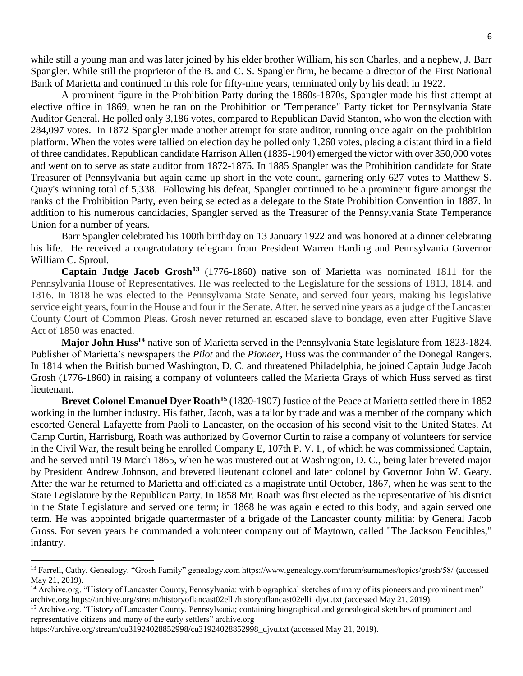while still a young man and was later joined by his elder brother William, his son Charles, and a nephew, J. Barr Spangler. While still the proprietor of the B. and C. S. Spangler firm, he became a director of the First National Bank of Marietta and continued in this role for fifty-nine years, terminated only by his death in 1922.

A prominent figure in the Prohibition Party during the 1860s-1870s, Spangler made his first attempt at elective office in 1869, when he ran on the Prohibition or 'Temperance" Party ticket for Pennsylvania State Auditor General. He polled only 3,186 votes, compared to Republican David Stanton, who won the election with 284,097 votes. In 1872 Spangler made another attempt for state auditor, running once again on the prohibition platform. When the votes were tallied on election day he polled only 1,260 votes, placing a distant third in a field of three candidates. Republican candidate Harrison Allen (1835-1904) emerged the victor with over 350,000 votes and went on to serve as state auditor from 1872-1875. In 1885 Spangler was the Prohibition candidate for State Treasurer of Pennsylvania but again came up short in the vote count, garnering only 627 votes to Matthew S. Quay's winning total of 5,338. Following his defeat, Spangler continued to be a prominent figure amongst the ranks of the Prohibition Party, even being selected as a delegate to the State Prohibition Convention in 1887. In addition to his numerous candidacies, Spangler served as the Treasurer of the Pennsylvania State Temperance Union for a number of years.

Barr Spangler celebrated his 100th birthday on 13 January 1922 and was honored at a dinner celebrating his life. He received a congratulatory telegram from President Warren Harding and Pennsylvania Governor William C. Sproul.

**Captain Judge Jacob Grosh<sup>13</sup>** (1776-1860) native son of Marietta was nominated 1811 for the Pennsylvania House of Representatives. He was reelected to the Legislature for the sessions of 1813, 1814, and 1816. In 1818 he was elected to the Pennsylvania State Senate, and served four years, making his legislative service eight years, four in the House and four in the Senate. After, he served nine years as a judge of the Lancaster County Court of Common Pleas. Grosh never returned an escaped slave to bondage, even after Fugitive Slave Act of 1850 was enacted.

**Major John Huss<sup>14</sup>** native son of Marietta served in the Pennsylvania State legislature from 1823-1824. Publisher of Marietta's newspapers the *Pilot* and the *Pioneer*, Huss was the commander of the Donegal Rangers. In 1814 when the British burned Washington, D. C. and threatened Philadelphia, he joined Captain Judge Jacob Grosh (1776-1860) in raising a company of volunteers called the Marietta Grays of which Huss served as first lieutenant.

**Brevet Colonel Emanuel Dyer Roath<sup>15</sup>** (1820-1907) Justice of the Peace at Marietta settled there in 1852 working in the lumber industry. His father, Jacob, was a tailor by trade and was a member of the company which escorted General Lafayette from Paoli to Lancaster, on the occasion of his second visit to the United States. At Camp Curtin, Harrisburg, Roath was authorized by Governor Curtin to raise a company of volunteers for service in the Civil War, the result being he enrolled Company E, 107th P. V. I., of which he was commissioned Captain, and he served until 19 March 1865, when he was mustered out at Washington, D. C., being later breveted major by President Andrew Johnson, and breveted lieutenant colonel and later colonel by Governor John W. Geary. After the war he returned to Marietta and officiated as a magistrate until October, 1867, when he was sent to the State Legislature by the Republican Party. In 1858 Mr. Roath was first elected as the representative of his district in the State Legislature and served one term; in 1868 he was again elected to this body, and again served one term. He was appointed brigade quartermaster of a brigade of the Lancaster county militia: by General Jacob Gross. For seven years he commanded a volunteer company out of Maytown, called "The Jackson Fencibles," infantry.

 $\overline{a}$ 

<sup>13</sup> Farrell, Cathy, Genealogy. "Grosh Family" genealogy.com https://www.genealogy.com/forum/surnames/topics/grosh/58/ (accessed May 21, 2019).

<sup>&</sup>lt;sup>14</sup> Archive.org. "History of Lancaster County, Pennsylvania: with biographical sketches of many of its pioneers and prominent men" archive.org https://archive.org/stream/historyoflancast02elli/historyoflancast02elli\_djvu.txt (accessed May 21, 2019).

<sup>&</sup>lt;sup>15</sup> Archive.org. "History of Lancaster County, Pennsylvania; containing biographical and genealogical sketches of prominent and representative citizens and many of the early settlers" archive.org

https://archive.org/stream/cu31924028852998/cu31924028852998\_djvu.txt (accessed May 21, 2019).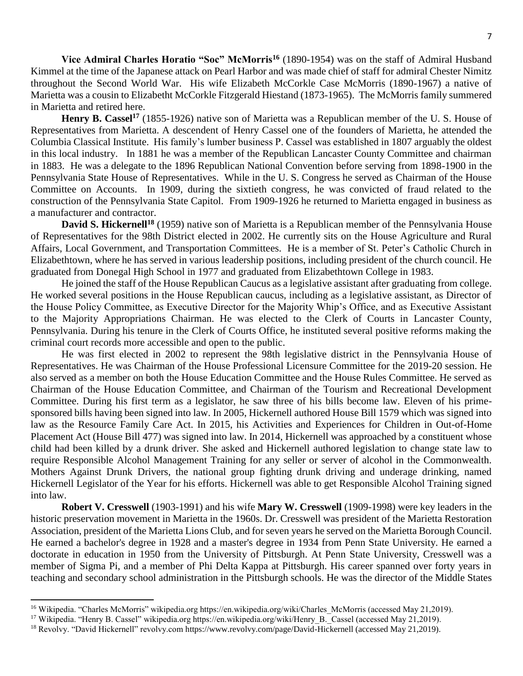**Vice Admiral Charles Horatio "Soc" McMorris<sup>16</sup>** (1890-1954) was on the staff of Admiral Husband Kimmel at the time of the Japanese attack on Pearl Harbor and was made chief of staff for admiral Chester Nimitz throughout the Second World War. His wife Elizabeth McCorkle Case McMorris (1890-1967) a native of Marietta was a cousin to Elizabetht McCorkle Fitzgerald Hiestand (1873-1965). The McMorris family summered in Marietta and retired here.

**Henry B. Cassel<sup>17</sup>** (1855-1926) native son of Marietta was a Republican member of the U. S. House of Representatives from Marietta. A descendent of Henry Cassel one of the founders of Marietta, he attended the Columbia Classical Institute. His family's lumber business P. Cassel was established in 1807 arguably the oldest in this local industry. In 1881 he was a member of the Republican Lancaster County Committee and chairman in 1883. He was a delegate to the 1896 Republican National Convention before serving from 1898-1900 in the Pennsylvania State House of Representatives. While in the U. S. Congress he served as Chairman of the House Committee on Accounts. In 1909, during the sixtieth congress, he was convicted of fraud related to the construction of the Pennsylvania State Capitol. From 1909-1926 he returned to Marietta engaged in business as a manufacturer and contractor.

**David S. Hickernell<sup>18</sup>** (1959) native son of Marietta is a [Republican](https://en.wikipedia.org/wiki/Republican_Party_(United_States)) member of the [Pennsylvania House](https://en.wikipedia.org/wiki/Pennsylvania_House_of_Representatives)  [of Representatives](https://en.wikipedia.org/wiki/Pennsylvania_House_of_Representatives) for the [98th District](https://en.wikipedia.org/wiki/Pennsylvania_House_of_Representatives,_District_98) elected in 2002. He currently sits on the House Agriculture and Rural Affairs, Local Government, and Transportation Committees. He is a member of St. Peter's Catholic Church in Elizabethtown, where he has served in various leadership positions, including president of the church council. He graduated from Donegal High School in 1977 and graduated from [Elizabethtown College](https://en.wikipedia.org/wiki/Elizabethtown_College) in 1983.

He joined the staff of the House Republican Caucus as a legislative assistant after graduating from college. He worked several positions in the House Republican caucus, including as a legislative assistant, as Director of the House Policy Committee, as Executive Director for the Majority Whip's Office, and as Executive Assistant to the Majority Appropriations Chairman. He was elected to the Clerk of Courts in [Lancaster County,](https://en.wikipedia.org/wiki/Lancaster_County,_Pennsylvania)  [Pennsylvania.](https://en.wikipedia.org/wiki/Lancaster_County,_Pennsylvania) During his tenure in the Clerk of Courts Office, he instituted several positive reforms making the criminal court records more accessible and open to the public.

He was first elected in 2002 to represent the [98th legislative district](https://en.wikipedia.org/wiki/Pennsylvania_House_of_Representatives,_District_98) in the [Pennsylvania House of](https://en.wikipedia.org/wiki/Pennsylvania_House_of_Representatives)  [Representatives.](https://en.wikipedia.org/wiki/Pennsylvania_House_of_Representatives) He was Chairman of the House Professional Licensure Committee for the 2019-20 session. He also served as a member on both the House Education Committee and the House Rules Committee. He served as Chairman of the House Education Committee, and Chairman of the Tourism and Recreational Development Committee. During his first term as a legislator, he saw three of his bills become law. Eleven of his primesponsored bills having been signed into law. In 2005, Hickernell authored House Bill 1579 which was signed into law as the Resource Family Care Act. In 2015, his Activities and Experiences for Children in Out-of-Home Placement Act (House Bill 477) was signed into law. In 2014, Hickernell was approached by a constituent whose child had been killed by a drunk driver. She asked and Hickernell authored legislation to change state law to require Responsible Alcohol Management Training for any seller or server of alcohol in the Commonwealth. Mothers Against Drunk Drivers, the national group fighting drunk driving and underage drinking, named Hickernell Legislator of the Year for his efforts. Hickernell was able to get Responsible Alcohol Training signed into law.

**Robert V. Cresswell** (1903-1991) and his wife **Mary W. Cresswell** (1909-1998) were key leaders in the historic preservation movement in Marietta in the 1960s. Dr. Cresswell was president of the Marietta Restoration Association, president of the Marietta Lions Club, and for seven years he served on the Marietta Borough Council. He earned a bachelor's degree in 1928 and a master's degree in 1934 from Penn State University. He earned a doctorate in education in 1950 from the University of Pittsburgh. At Penn State University, Cresswell was a member of Sigma Pi, and a member of Phi Delta Kappa at Pittsburgh. His career spanned over forty years in teaching and secondary school administration in the Pittsburgh schools. He was the director of the Middle States

<sup>&</sup>lt;sup>16</sup> Wikipedia. "Charles McMorris" wikipedia.org https://en.wikipedia.org/wiki/Charles\_McMorris (accessed May 21,2019).

<sup>&</sup>lt;sup>17</sup> Wikipedia. "Henry B. Cassel" wikipedia.org https://en.wikipedia.org/wiki/Henry\_B. Cassel (accessed May 21,2019).

<sup>&</sup>lt;sup>18</sup> Revolvy. "David Hickernell" revolvy.com https://www.revolvy.com/page/David-Hickernell (accessed May 21,2019).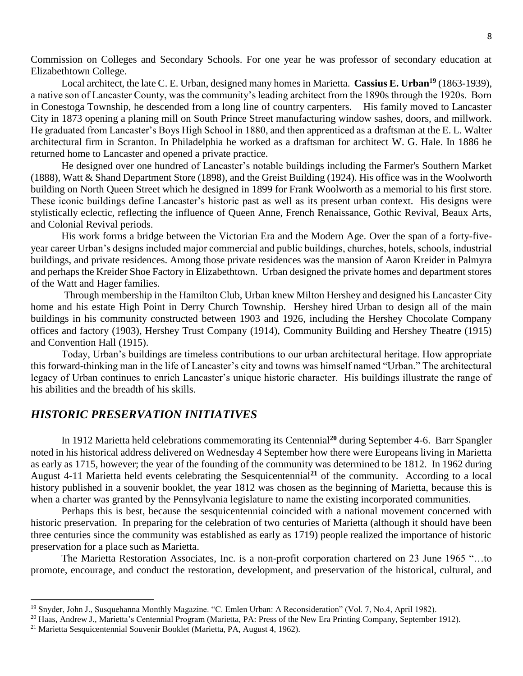Commission on Colleges and Secondary Schools. For one year he was professor of secondary education at Elizabethtown College.

Local architect, the late C. E. Urban, designed many homes in Marietta. **Cassius E. Urban<sup>19</sup>** (1863-1939), a native son of Lancaster County, was the community's leading architect from the 1890s through the 1920s. Born in [Conestoga Township,](https://en.wikipedia.org/wiki/Conestoga_Township,_Lancaster_County,_Pennsylvania) he descended from a long line of country carpenters. His family moved to Lancaster City in 1873 opening a planing mill on South Prince Street manufacturing window sashes, doors, and millwork. He graduated from Lancaster's Boys High School in 1880, and then apprenticed as a [draftsman](https://en.wikipedia.org/wiki/Draughtsman) at the E. L. Walter architectural firm in Scranton. In Philadelphia he worked as a draftsman for architect [W. G. Hale.](https://en.wikipedia.org/wiki/Willis_G._Hale) In 1886 he returned home to Lancaster and opened a private practice.

He designed over one hundred of Lancaster's notable buildings including the [Farmer's Southern Market](https://en.wikipedia.org/wiki/Farmer%27s_Southern_Market) (1888), [Watt & Shand Department Store](https://en.wikipedia.org/wiki/Watt_%26_Shand) (1898), and the Greist Building (1924). His office was in the Woolworth building on North Queen Street which he designed in 1899 for Frank Woolworth as a memorial to his first store. These iconic buildings define Lancaster's historic past as well as its present urban context. His designs were stylistically eclectic, reflecting the influence of Queen Anne, French Renaissance, Gothic Revival, Beaux Arts, and Colonial Revival periods.

His work forms a bridge between the Victorian Era and the Modern Age. Over the span of a forty-fiveyear career Urban's designs included major commercial and public buildings, churches, hotels, schools, industrial buildings, and private residences. Among those private residences was the mansion of Aaron Kreider in Palmyra and perhaps the Kreider Shoe Factory in Elizabethtown. Urban designed the private homes and department stores of the Watt and Hager families.

Through membership in the Hamilton Club, Urban knew Milton Hershey and designed his Lancaster City home and his estate High Point in Derry Church Township. Hershey hired Urban to design all of the main buildings in his community constructed between 1903 and 1926, including the Hershey Chocolate Company offices and factory (1903), Hershey Trust Company (1914), Community Building and Hershey Theatre (1915) and Convention Hall (1915).

Today, Urban's buildings are timeless contributions to our urban architectural heritage. How appropriate this forward-thinking man in the life of Lancaster's city and towns was himself named "Urban." The architectural legacy of Urban continues to enrich Lancaster's unique historic character. His buildings illustrate the range of his abilities and the breadth of his skills.

## *HISTORIC PRESERVATION INITIATIVES*

In 1912 Marietta held celebrations commemorating its Centennial**<sup>20</sup>** during September 4-6. Barr Spangler noted in his historical address delivered on Wednesday 4 September how there were Europeans living in Marietta as early as 1715, however; the year of the founding of the community was determined to be 1812. In 1962 during August 4-11 Marietta held events celebrating the Sesquicentennial**<sup>21</sup>** of the community. According to a local history published in a souvenir booklet, the year 1812 was chosen as the beginning of Marietta, because this is when a charter was granted by the Pennsylvania legislature to name the existing incorporated communities.

Perhaps this is best, because the sesquicentennial coincided with a national movement concerned with historic preservation. In preparing for the celebration of two centuries of Marietta (although it should have been three centuries since the community was established as early as 1719) people realized the importance of historic preservation for a place such as Marietta.

The Marietta Restoration Associates, Inc. is a non-profit corporation chartered on 23 June 1965 "…to promote, encourage, and conduct the restoration, development, and preservation of the historical, cultural, and

<sup>&</sup>lt;sup>19</sup> Snyder, John J., Susquehanna Monthly Magazine. "C. Emlen Urban: A Reconsideration" (Vol. 7, No.4, April 1982).

<sup>&</sup>lt;sup>20</sup> Haas, Andrew J., Marietta's Centennial Program (Marietta, PA: Press of the New Era Printing Company, September 1912).

<sup>21</sup> Marietta Sesquicentennial Souvenir Booklet (Marietta, PA, August 4, 1962).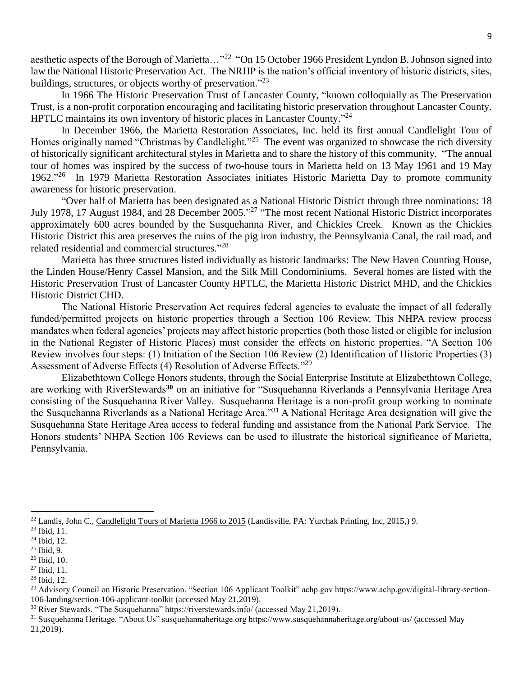aesthetic aspects of the Borough of Marietta..."<sup>22</sup> "On 15 October 1966 President Lyndon B. Johnson signed into law the National Historic Preservation Act. The NRHP is the nation's official inventory of historic districts, sites, buildings, structures, or objects worthy of preservation."23

In 1966 The Historic Preservation Trust of Lancaster County, "known colloquially as The Preservation Trust, is a non-profit corporation encouraging and facilitating historic preservation throughout Lancaster County. HPTLC maintains its own inventory of historic places in Lancaster County."<sup>24</sup>

In December 1966, the Marietta Restoration Associates, Inc. held its first annual Candlelight Tour of Homes originally named "Christmas by Candlelight."<sup>25</sup> The event was organized to showcase the rich diversity of historically significant architectural styles in Marietta and to share the history of this community. "The annual tour of homes was inspired by the success of two-house tours in Marietta held on 13 May 1961 and 19 May 1962."<sup>26</sup> In 1979 Marietta Restoration Associates initiates Historic Marietta Day to promote community awareness for historic preservation.

"Over half of Marietta has been designated as a National Historic District through three nominations: 18 July 1978, 17 August 1984, and 28 December 2005."<sup>27</sup> "The most recent National Historic District incorporates approximately 600 acres bounded by the Susquehanna River, and Chickies Creek. Known as the Chickies Historic District this area preserves the ruins of the pig iron industry, the Pennsylvania Canal, the rail road, and related residential and commercial structures."<sup>28</sup>

Marietta has three structures listed individually as historic landmarks: The New Haven Counting House, the Linden House/Henry Cassel Mansion, and the Silk Mill Condominiums. Several homes are listed with the Historic Preservation Trust of Lancaster County HPTLC, the Marietta Historic District MHD, and the Chickies Historic District CHD.

The National Historic Preservation Act requires federal agencies to evaluate the impact of all federally funded/permitted projects on historic properties through a Section 106 Review. This NHPA review process mandates when federal agencies' projects may affect historic properties (both those listed or eligible for inclusion in the National Register of Historic Places) must consider the effects on historic properties. "A Section 106 Review involves four steps: (1) Initiation of the Section 106 Review (2) Identification of Historic Properties (3) Assessment of Adverse Effects (4) Resolution of Adverse Effects."<sup>29</sup>

Elizabethtown College Honors students, through the Social Enterprise Institute at Elizabethtown College, are working with RiverStewards**<sup>30</sup>** on an initiative for "Susquehanna Riverlands a Pennsylvania Heritage Area consisting of the Susquehanna River Valley. Susquehanna Heritage is a non-profit group working to nominate the Susquehanna Riverlands as a National Heritage Area." <sup>31</sup> A National Heritage Area designation will give the Susquehanna State Heritage Area access to federal funding and assistance from the National Park Service. The Honors students' NHPA Section 106 Reviews can be used to illustrate the historical significance of Marietta, Pennsylvania.

<sup>&</sup>lt;sup>22</sup> Landis, John C., Candlelight Tours of Marietta 1966 to 2015 (Landisville, PA: Yurchak Printing, Inc, 2015.) 9.

<sup>23</sup> Ibid, 11.

<sup>24</sup> Ibid, 12.

 $25$  Ibid, 9.

<sup>26</sup> Ibid, 10.

<sup>27</sup> Ibid, 11.

<sup>28</sup> Ibid, 12.

<sup>&</sup>lt;sup>29</sup> Advisory Council on Historic Preservation. "Section 106 Applicant Toolkit" achp.gov https://www.achp.gov/digital-library-section-106-landing/section-106-applicant-toolkit (accessed May 21,2019).

<sup>30</sup> River Stewards. "The Susquehanna" https://riverstewards.info/ (accessed May 21,2019).

<sup>31</sup> Susquehanna Heritage. "About Us" susquehannaheritage.org https://www.susquehannaheritage.org/about-us/ (accessed May 21,2019).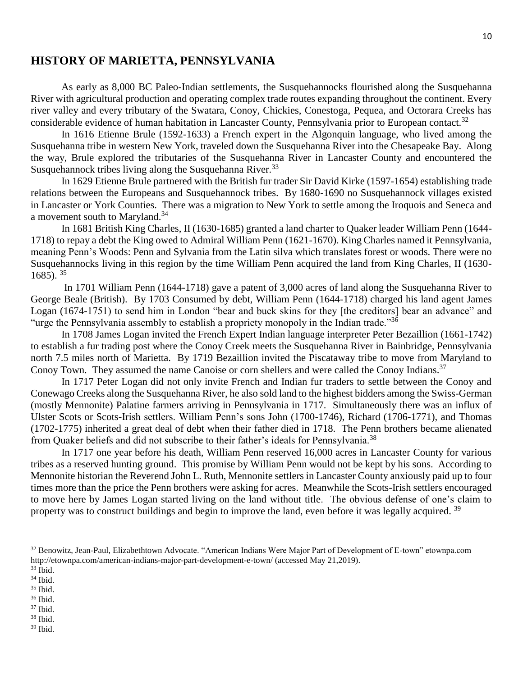#### **HISTORY OF MARIETTA, PENNSYLVANIA**

As early as 8,000 BC Paleo-Indian settlements, the Susquehannocks flourished along the Susquehanna River with agricultural production and operating complex trade routes expanding throughout the continent. Every river valley and every tributary of the Swatara, Conoy, Chickies, Conestoga, Pequea, and Octorara Creeks has considerable evidence of human habitation in Lancaster County, Pennsylvania prior to European contact.<sup>32</sup>

In 1616 Etienne Brule (1592-1633) a French expert in the Algonquin language, who lived among the Susquehanna tribe in western New York, traveled down the Susquehanna River into the Chesapeake Bay. Along the way, Brule explored the tributaries of the Susquehanna River in Lancaster County and encountered the Susquehannock tribes living along the Susquehanna River.<sup>33</sup>

In 1629 Etienne Brule partnered with the British fur trader Sir David Kirke (1597-1654) establishing trade relations between the Europeans and Susquehannock tribes. By 1680-1690 no Susquehannock villages existed in Lancaster or York Counties. There was a migration to New York to settle among the Iroquois and Seneca and a movement south to Maryland.<sup>34</sup>

In 1681 British King Charles, II (1630-1685) granted a land charter to Quaker leader William Penn (1644- 1718) to repay a debt the King owed to Admiral William Penn (1621-1670). King Charles named it Pennsylvania, meaning Penn's Woods: Penn and Sylvania from the Latin silva which translates forest or woods. There were no Susquehannocks living in this region by the time William Penn acquired the land from King Charles, II (1630- 1685).  $35$ 

In 1701 William Penn (1644-1718) gave a patent of 3,000 acres of land along the Susquehanna River to George Beale (British). By 1703 Consumed by debt, William Penn (1644-1718) charged his land agent James Logan (1674-1751) to send him in London "bear and buck skins for they [the creditors] bear an advance" and "urge the Pennsylvania assembly to establish a propriety monopoly in the Indian trade."<sup>36</sup>

In 1708 James Logan invited the French Expert Indian language interpreter Peter Bezaillion (1661-1742) to establish a fur trading post where the Conoy Creek meets the Susquehanna River in Bainbridge, Pennsylvania north 7.5 miles north of Marietta. By 1719 Bezaillion invited the Piscataway tribe to move from Maryland to Conoy Town. They assumed the name Canoise or corn shellers and were called the Conoy Indians.<sup>37</sup>

In 1717 Peter Logan did not only invite French and Indian fur traders to settle between the Conoy and Conewago Creeks along the Susquehanna River, he also sold land to the highest bidders among the Swiss-German (mostly Mennonite) Palatine farmers arriving in Pennsylvania in 1717. Simultaneously there was an influx of Ulster Scots or Scots-Irish settlers. William Penn's sons John (1700-1746), Richard (1706-1771), and Thomas (1702-1775) inherited a great deal of debt when their father died in 1718. The Penn brothers became alienated from Quaker beliefs and did not subscribe to their father's ideals for Pennsylvania.<sup>38</sup>

In 1717 one year before his death, William Penn reserved 16,000 acres in Lancaster County for various tribes as a reserved hunting ground. This promise by William Penn would not be kept by his sons. According to Mennonite historian the Reverend John L. Ruth, Mennonite settlers in Lancaster County anxiously paid up to four times more than the price the Penn brothers were asking for acres. Meanwhile the Scots-Irish settlers encouraged to move here by James Logan started living on the land without title. The obvious defense of one's claim to property was to construct buildings and begin to improve the land, even before it was legally acquired. <sup>39</sup>

- $37$  Ibid.
- <sup>38</sup> Ibid. <sup>39</sup> Ibid.

<sup>32</sup> Benowitz, Jean-Paul, Elizabethtown Advocate. "American Indians Were Major Part of Development of E-town" etownpa.com http://etownpa.com/american-indians-major-part-development-e-town/ (accessed May 21,2019).

 $33$  Ibid.

 $34$  Ibid.

<sup>35</sup> Ibid.

<sup>36</sup> Ibid.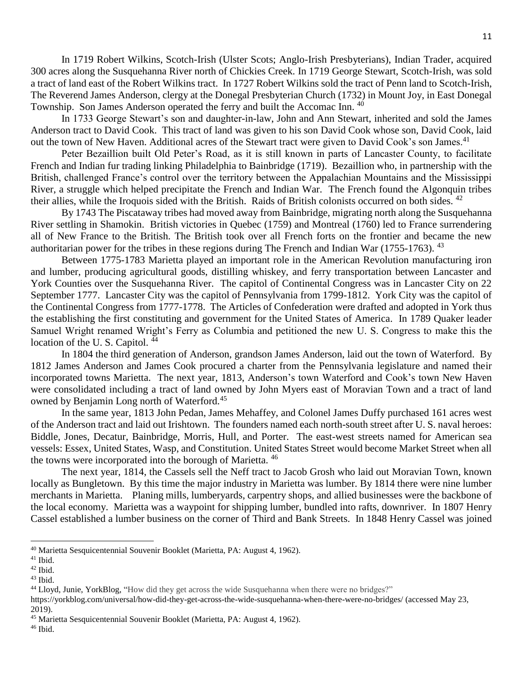In 1719 Robert Wilkins, Scotch-Irish (Ulster Scots; Anglo-Irish Presbyterians), Indian Trader, acquired 300 acres along the Susquehanna River north of Chickies Creek. In 1719 George Stewart, Scotch-Irish, was sold a tract of land east of the Robert Wilkins tract. In 1727 Robert Wilkins sold the tract of Penn land to Scotch-Irish, The Reverend James Anderson, clergy at the Donegal Presbyterian Church (1732) in Mount Joy, in East Donegal Township. Son James Anderson operated the ferry and built the Accomac Inn. 40

In 1733 George Stewart's son and daughter-in-law, John and Ann Stewart, inherited and sold the James Anderson tract to David Cook. This tract of land was given to his son David Cook whose son, David Cook, laid out the town of New Haven. Additional acres of the Stewart tract were given to David Cook's son James.<sup>41</sup>

Peter Bezaillion built Old Peter's Road, as it is still known in parts of Lancaster County, to facilitate French and Indian fur trading linking Philadelphia to Bainbridge (1719). Bezaillion who, in partnership with the British, challenged France's control over the territory between the Appalachian Mountains and the Mississippi River, a struggle which helped precipitate the French and Indian War. The French found the Algonquin tribes their allies, while the Iroquois sided with the British. Raids of British colonists occurred on both sides. <sup>42</sup>

By 1743 The Piscataway tribes had moved away from Bainbridge, migrating north along the Susquehanna River settling in Shamokin. British victories in Quebec (1759) and Montreal (1760) led to France surrendering all of New France to the British. The British took over all French forts on the frontier and became the new authoritarian power for the tribes in these regions during The French and Indian War (1755-1763).  $^{43}$ 

Between 1775-1783 Marietta played an important role in the American Revolution manufacturing iron and lumber, producing agricultural goods, distilling whiskey, and ferry transportation between Lancaster and York Counties over the Susquehanna River. The capitol of Continental Congress was in Lancaster City on 22 September 1777. Lancaster City was the capitol of Pennsylvania from 1799-1812. York City was the capitol of the Continental Congress from 1777-1778. The Articles of Confederation were drafted and adopted in York thus the establishing the first constituting and government for the United States of America. In 1789 Quaker leader Samuel Wright renamed Wright's Ferry as Columbia and petitioned the new U. S. Congress to make this the location of the U.S. Capitol.<sup>44</sup>

In 1804 the third generation of Anderson, grandson James Anderson, laid out the town of Waterford. By 1812 James Anderson and James Cook procured a charter from the Pennsylvania legislature and named their incorporated towns Marietta. The next year, 1813, Anderson's town Waterford and Cook's town New Haven were consolidated including a tract of land owned by John Myers east of Moravian Town and a tract of land owned by Benjamin Long north of Waterford.<sup>45</sup>

In the same year, 1813 John Pedan, James Mehaffey, and Colonel James Duffy purchased 161 acres west of the Anderson tract and laid out Irishtown. The founders named each north-south street after U. S. naval heroes: Biddle, Jones, Decatur, Bainbridge, Morris, Hull, and Porter. The east-west streets named for American sea vessels: Essex, United States, Wasp, and Constitution. United States Street would become Market Street when all the towns were incorporated into the borough of Marietta. <sup>46</sup>

The next year, 1814, the Cassels sell the Neff tract to Jacob Grosh who laid out Moravian Town, known locally as Bungletown. By this time the major industry in Marietta was lumber. By 1814 there were nine lumber merchants in Marietta. Planing mills, lumberyards, carpentry shops, and allied businesses were the backbone of the local economy. Marietta was a waypoint for shipping lumber, bundled into rafts, downriver. In 1807 Henry Cassel established a lumber business on the corner of Third and Bank Streets. In 1848 Henry Cassel was joined

 $\overline{\phantom{a}}$ 

<sup>46</sup> Ibid.

<sup>40</sup> Marietta Sesquicentennial Souvenir Booklet (Marietta, PA: August 4, 1962).

<sup>41</sup> Ibid.

 $42$  Ibid.

 $43$  Ibid.

<sup>44</sup> Lloyd, Junie, YorkBlog, "How did they get across the wide Susquehanna when there were no bridges?"

https://yorkblog.com/universal/how-did-they-get-across-the-wide-susquehanna-when-there-were-no-bridges/ (accessed May 23, 2019).

<sup>45</sup> Marietta Sesquicentennial Souvenir Booklet (Marietta, PA: August 4, 1962).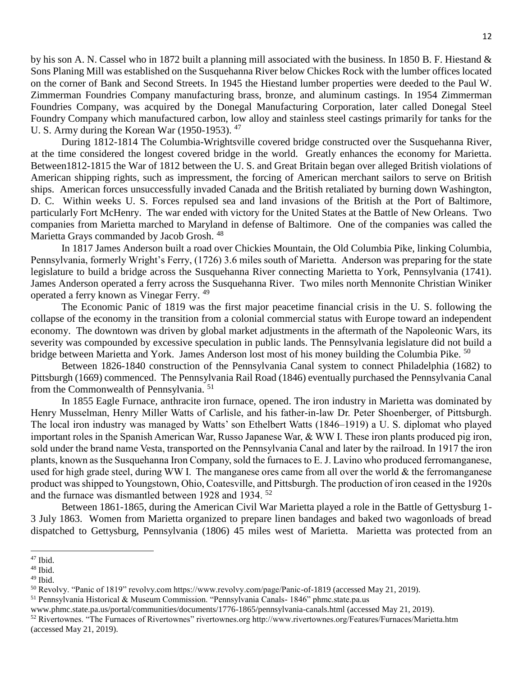by his son A. N. Cassel who in 1872 built a planning mill associated with the business. In 1850 B. F. Hiestand & Sons Planing Mill was established on the Susquehanna River below Chickes Rock with the lumber offices located on the corner of Bank and Second Streets. In 1945 the Hiestand lumber properties were deeded to the Paul W. Zimmerman Foundries Company manufacturing brass, bronze, and aluminum castings. In 1954 Zimmerman Foundries Company, was acquired by the Donegal Manufacturing Corporation, later called Donegal Steel Foundry Company which manufactured carbon, low alloy and stainless steel castings primarily for tanks for the U. S. Army during the Korean War (1950-1953). <sup>47</sup>

During 1812-1814 The Columbia-Wrightsville covered bridge constructed over the Susquehanna River, at the time considered the longest covered bridge in the world. Greatly enhances the economy for Marietta. Between1812-1815 the War of 1812 between the U. S. and Great Britain began over alleged British violations of American shipping rights, such as impressment, the forcing of American merchant sailors to serve on British ships. American forces unsuccessfully invaded Canada and the British retaliated by burning down Washington, D. C. Within weeks U. S. Forces repulsed sea and land invasions of the British at the Port of Baltimore, particularly Fort McHenry. The war ended with victory for the United States at the Battle of New Orleans. Two companies from Marietta marched to Maryland in defense of Baltimore. One of the companies was called the Marietta Grays commanded by Jacob Grosh.<sup>48</sup>

In 1817 James Anderson built a road over Chickies Mountain, the Old Columbia Pike, linking Columbia, Pennsylvania, formerly Wright's Ferry, (1726) 3.6 miles south of Marietta. Anderson was preparing for the state legislature to build a bridge across the Susquehanna River connecting Marietta to York, Pennsylvania (1741). James Anderson operated a ferry across the Susquehanna River. Two miles north Mennonite Christian Winiker operated a ferry known as Vinegar Ferry. <sup>49</sup>

The Economic Panic of 1819 was the first major peacetime financial crisis in the U. S. following the collapse of the economy in the transition from a colonial commercial status with Europe toward an independent economy. The downtown was driven by global market adjustments in the aftermath of the Napoleonic Wars, its severity was compounded by excessive speculation in public lands. The Pennsylvania legislature did not build a bridge between Marietta and York. James Anderson lost most of his money building the Columbia Pike. <sup>50</sup>

Between 1826-1840 construction of the Pennsylvania Canal system to connect Philadelphia (1682) to Pittsburgh (1669) commenced. The Pennsylvania Rail Road (1846) eventually purchased the Pennsylvania Canal from the Commonwealth of Pennsylvania. <sup>51</sup>

In 1855 Eagle Furnace, anthracite iron furnace, opened. The iron industry in Marietta was dominated by Henry Musselman, Henry Miller Watts of Carlisle, and his father-in-law Dr. Peter Shoenberger, of Pittsburgh. The local iron industry was managed by Watts' son Ethelbert Watts (1846–1919) a U. S. diplomat who played important roles in the Spanish American War, Russo Japanese War, & WW I. These iron plants produced pig iron, sold under the brand name Vesta, transported on the Pennsylvania Canal and later by the railroad. In 1917 the iron plants, known as the Susquehanna Iron Company, sold the furnaces to E. J. Lavino who produced ferromanganese, used for high grade steel, during WW I. The manganese ores came from all over the world & the ferromanganese product was shipped to Youngstown, Ohio, Coatesville, and Pittsburgh. The production of iron ceased in the 1920s and the furnace was dismantled between 1928 and 1934. <sup>52</sup>

Between 1861-1865, during the American Civil War Marietta played a role in the Battle of Gettysburg 1- 3 July 1863. Women from Marietta organized to prepare linen bandages and baked two wagonloads of bread dispatched to Gettysburg, Pennsylvania (1806) 45 miles west of Marietta. Marietta was protected from an

 $\overline{\phantom{a}}$ 

<sup>51</sup> Pennsylvania Historical & Museum Commission. "Pennsylvania Canals- 1846" phmc.state.pa.us

<sup>47</sup> Ibid.

<sup>48</sup> Ibid.

 $49$  Ibid.

<sup>50</sup> Revolvy. "Panic of 1819" revolvy.com https://www.revolvy.com/page/Panic-of-1819 (accessed May 21, 2019).

www.phmc.state.pa.us/portal/communities/documents/1776-1865/pennsylvania-canals.html (accessed May 21, 2019).

<sup>52</sup> Rivertownes. "The Furnaces of Rivertownes" rivertownes.org http://www.rivertownes.org/Features/Furnaces/Marietta.htm (accessed May 21, 2019).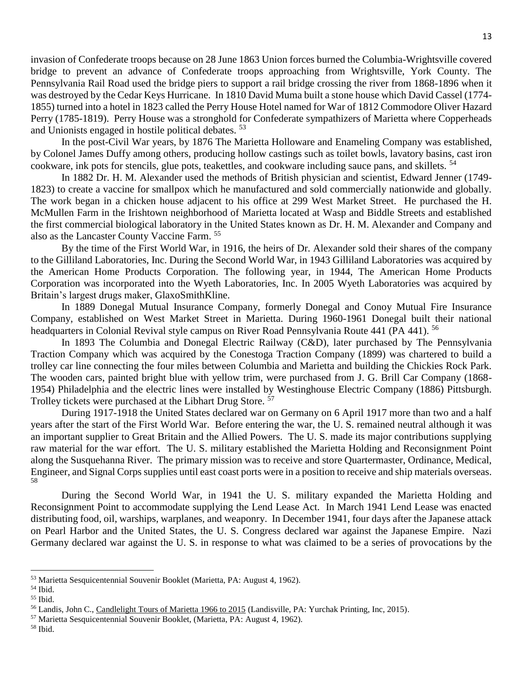invasion of Confederate troops because on 28 June 1863 Union forces burned the Columbia-Wrightsville covered bridge to prevent an advance of Confederate troops approaching from Wrightsville, York County. The Pennsylvania Rail Road used the bridge piers to support a rail bridge crossing the river from 1868-1896 when it was destroyed by the Cedar Keys Hurricane. In 1810 David Muma built a stone house which David Cassel (1774- 1855) turned into a hotel in 1823 called the Perry House Hotel named for War of 1812 Commodore Oliver Hazard Perry (1785-1819). Perry House was a stronghold for Confederate sympathizers of Marietta where Copperheads and Unionists engaged in hostile political debates. <sup>53</sup>

In the post-Civil War years, by 1876 The Marietta Holloware and Enameling Company was established, by Colonel James Duffy among others, producing hollow castings such as toilet bowls, lavatory basins, cast iron cookware, ink pots for stencils, glue pots, teakettles, and cookware including sauce pans, and skillets. <sup>54</sup>

In 1882 Dr. H. M. Alexander used the methods of British physician and scientist, Edward Jenner (1749- 1823) to create a vaccine for smallpox which he manufactured and sold commercially nationwide and globally. The work began in a chicken house adjacent to his office at 299 West Market Street. He purchased the H. McMullen Farm in the Irishtown neighborhood of Marietta located at Wasp and Biddle Streets and established the first commercial biological laboratory in the United States known as Dr. H. M. Alexander and Company and also as the Lancaster County Vaccine Farm. <sup>55</sup>

By the time of the First World War, in 1916, the heirs of Dr. Alexander sold their shares of the company to the Gilliland Laboratories, Inc. During the Second World War, in 1943 Gilliland Laboratories was acquired by the American Home Products Corporation. The following year, in 1944, The American Home Products Corporation was incorporated into the Wyeth Laboratories, Inc. In 2005 Wyeth Laboratories was acquired by Britain's largest drugs maker, GlaxoSmithKline.

In 1889 Donegal Mutual Insurance Company, formerly Donegal and Conoy Mutual Fire Insurance Company, established on West Market Street in Marietta. During 1960-1961 Donegal built their national headquarters in Colonial Revival style campus on River Road Pennsylvania Route 441 (PA 441). <sup>56</sup>

In 1893 The Columbia and Donegal Electric Railway (C&D), later purchased by The Pennsylvania Traction Company which was acquired by the Conestoga Traction Company (1899) was chartered to build a trolley car line connecting the four miles between Columbia and Marietta and building the Chickies Rock Park. The wooden cars, painted bright blue with yellow trim, were purchased from J. G. Brill Car Company (1868- 1954) Philadelphia and the electric lines were installed by Westinghouse Electric Company (1886) Pittsburgh. Trolley tickets were purchased at the Libhart Drug Store.<sup>57</sup>

During 1917-1918 the United States declared war on Germany on 6 April 1917 more than two and a half years after the start of the First World War. Before entering the war, the U. S. remained neutral although it was an important supplier to Great Britain and the Allied Powers. The U. S. made its major contributions supplying raw material for the war effort. The U. S. military established the Marietta Holding and Reconsignment Point along the Susquehanna River. The primary mission was to receive and store Quartermaster, Ordinance, Medical, Engineer, and Signal Corps supplies until east coast ports were in a position to receive and ship materials overseas. 58

During the Second World War, in 1941 the U. S. military expanded the Marietta Holding and Reconsignment Point to accommodate supplying the Lend Lease Act. In March 1941 Lend Lease was enacted distributing food, oil, warships, warplanes, and weaponry. In December 1941, four days after the Japanese attack on Pearl Harbor and the United States, the U. S. Congress declared war against the Japanese Empire. Nazi Germany declared war against the U. S. in response to what was claimed to be a series of provocations by the

 $\overline{\phantom{a}}$ 

<sup>58</sup> Ibid.

<sup>53</sup> Marietta Sesquicentennial Souvenir Booklet (Marietta, PA: August 4, 1962).

<sup>54</sup> Ibid.

<sup>55</sup> Ibid.

<sup>56</sup> Landis, John C., Candlelight Tours of Marietta 1966 to 2015 (Landisville, PA: Yurchak Printing, Inc, 2015).

<sup>57</sup> Marietta Sesquicentennial Souvenir Booklet, (Marietta, PA: August 4, 1962).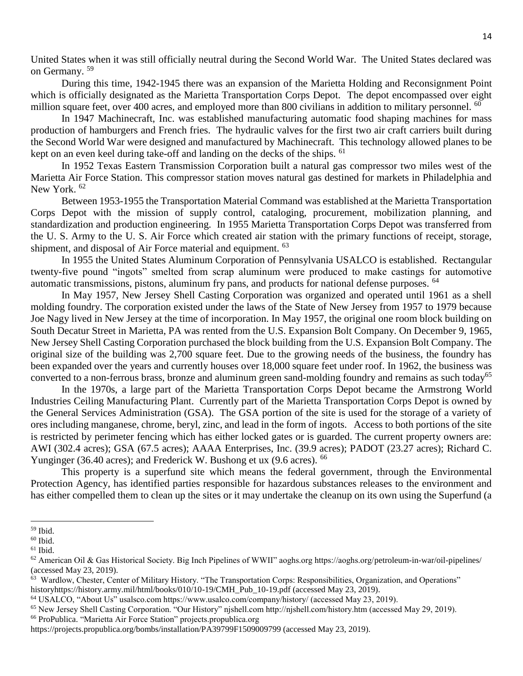United States when it was still officially neutral during the Second World War. The United States declared was on Germany. <sup>59</sup>

During this time, 1942-1945 there was an expansion of the Marietta Holding and Reconsignment Point which is officially designated as the Marietta Transportation Corps Depot. The depot encompassed over eight million square feet, over 400 acres, and employed more than 800 civilians in addition to military personnel.  $^{60}$ 

In 1947 Machinecraft, Inc. was established manufacturing automatic food shaping machines for mass production of hamburgers and French fries. The hydraulic valves for the first two air craft carriers built during the Second World War were designed and manufactured by Machinecraft. This technology allowed planes to be kept on an even keel during take-off and landing on the decks of the ships. <sup>61</sup>

In 1952 Texas Eastern Transmission Corporation built a natural gas compressor two miles west of the Marietta Air Force Station. This compressor station moves natural gas destined for markets in Philadelphia and New York.  $62$ 

Between 1953-1955 the Transportation Material Command was established at the Marietta Transportation Corps Depot with the mission of supply control, cataloging, procurement, mobilization planning, and standardization and production engineering. In 1955 Marietta Transportation Corps Depot was transferred from the U. S. Army to the U. S. Air Force which created air station with the primary functions of receipt, storage, shipment, and disposal of Air Force material and equipment. <sup>63</sup>

In 1955 the United States Aluminum Corporation of Pennsylvania USALCO is established. Rectangular twenty-five pound "ingots" smelted from scrap aluminum were produced to make castings for automotive automatic transmissions, pistons, aluminum fry pans, and products for national defense purposes. <sup>64</sup>

In May 1957, New Jersey Shell Casting Corporation was organized and operated until 1961 as a shell molding foundry. The corporation existed under the laws of the State of New Jersey from 1957 to 1979 because Joe Nagy lived in New Jersey at the time of incorporation. In May 1957, the original one room block building on South Decatur Street in Marietta, PA was rented from the U.S. Expansion Bolt Company. On December 9, 1965, New Jersey Shell Casting Corporation purchased the block building from the U.S. Expansion Bolt Company. The original size of the building was 2,700 square feet. Due to the growing needs of the business, the foundry has been expanded over the years and currently houses over 18,000 square feet under roof. In 1962, the business was converted to a non-ferrous brass, bronze and aluminum green sand-molding foundry and remains as such today<sup>65</sup>

In the 1970s, a large part of the Marietta Transportation Corps Depot became the Armstrong World Industries Ceiling Manufacturing Plant. Currently part of the Marietta Transportation Corps Depot is owned by the General Services Administration (GSA). The GSA portion of the site is used for the storage of a variety of ores including manganese, chrome, beryl, zinc, and lead in the form of ingots. Access to both portions of the site is restricted by perimeter fencing which has either locked gates or is guarded. The current property owners are: AWI (302.4 acres); GSA (67.5 acres); AAAA Enterprises, Inc. (39.9 acres); PADOT (23.27 acres); Richard C. Yunginger (36.40 acres); and Frederick W. Bushong et ux (9.6 acres). <sup>66</sup>

This property is a superfund site which means the federal government, through the Environmental Protection Agency, has identified parties responsible for hazardous substances releases to the environment and has either compelled them to clean up the sites or it may undertake the cleanup on its own using the Superfund (a

l

<sup>59</sup> Ibid.

 $^{60}$  Ibid.

 $61$  Ibid.

 $62$  American Oil & Gas Historical Society. Big Inch Pipelines of WWII" aoghs.org https://aoghs.org/petroleum-in-war/oil-pipelines/ (accessed May 23, 2019).

<sup>&</sup>lt;sup>63</sup> Wardlow, Chester, Center of Military History. "The Transportation Corps: Responsibilities, Organization, and Operations" historyhttps://history.army.mil/html/books/010/10-19/CMH\_Pub\_10-19.pdf (accessed May 23, 2019).

<sup>64</sup> USALCO, "About Us" usalsco.com https://www.usalco.com/company/history/ (accessed May 23, 2019).

<sup>65</sup> New Jersey Shell Casting Corporation. "Our History" njshell.com http://njshell.com/history.htm (accessed May 29, 2019).

<sup>66</sup> ProPublica. "Marietta Air Force Station" projects.propublica.org

https://projects.propublica.org/bombs/installation/PA39799F1509009799 (accessed May 23, 2019).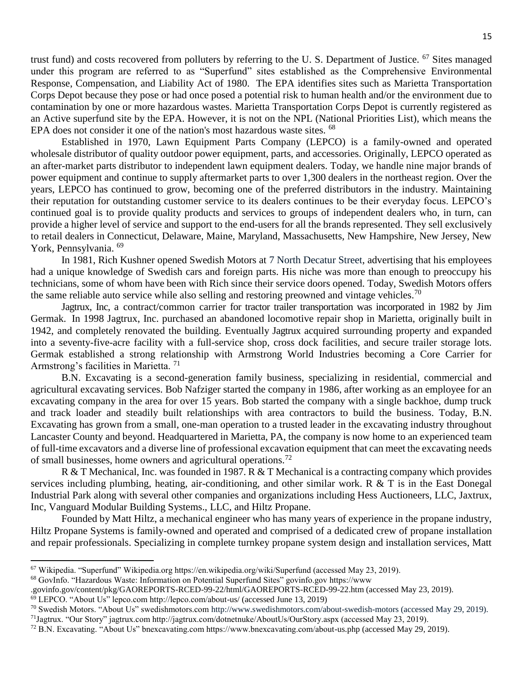trust fund) and costs recovered from polluters by referring to the U.S. Department of Justice. <sup>67</sup> Sites managed under this program are referred to as "Superfund" sites established as the Comprehensive Environmental Response, Compensation, and Liability Act of 1980. The EPA identifies sites such as Marietta Transportation Corps Depot because they pose or had once posed a potential risk to human health and/or the environment due to contamination by one or more hazardous wastes. Marietta Transportation Corps Depot is currently registered as an Active superfund site by the EPA. However, it is not on the NPL (National Priorities List), which means the EPA does not consider it one of the nation's most hazardous waste sites. <sup>68</sup>

Established in 1970, Lawn Equipment Parts Company (LEPCO) is a family-owned and operated wholesale distributor of quality outdoor power equipment, parts, and accessories. Originally, LEPCO operated as an after-market parts distributor to independent lawn equipment dealers. Today, we handle nine major brands of power equipment and continue to supply aftermarket parts to over 1,300 dealers in the northeast region. Over the years, LEPCO has continued to grow, becoming one of the preferred distributors in the industry. Maintaining their reputation for outstanding customer service to its dealers continues to be their everyday focus. LEPCO's continued goal is to provide quality products and services to groups of independent dealers who, in turn, can provide a higher level of service and support to the end-users for all the brands represented. They sell exclusively to retail dealers in Connecticut, Delaware, Maine, Maryland, Massachusetts, New Hampshire, New Jersey, New York, Pennsylvania. <sup>69</sup>

In 1981, Rich Kushner opened Swedish Motors at 7 North Decatur Street, advertising that his employees had a unique knowledge of Swedish cars and foreign parts. His niche was more than enough to preoccupy his technicians, some of whom have been with Rich since their service doors opened. Today, Swedish Motors offers the same reliable auto service while also selling and restoring preowned and vintage vehicles.<sup>70</sup>

Jagtrux, Inc, a contract/common carrier for tractor trailer transportation was incorporated in 1982 by Jim Germak. In 1998 Jagtrux, Inc. purchased an abandoned locomotive repair shop in Marietta, originally built in 1942, and completely renovated the building. Eventually Jagtrux acquired surrounding property and expanded into a seventy-five-acre facility with a full-service shop, cross dock facilities, and secure trailer storage lots. Germak established a strong relationship with Armstrong World Industries becoming a Core Carrier for Armstrong's facilities in Marietta. <sup>71</sup>

B.N. Excavating is a second-generation family business, specializing in residential, commercial and agricultural excavating services. Bob Nafziger started the company in 1986, after working as an employee for an excavating company in the area for over 15 years. Bob started the company with a single backhoe, dump truck and track loader and steadily built relationships with area contractors to build the business. Today, B.N. Excavating has grown from a small, one-man operation to a trusted leader in the excavating industry throughout Lancaster County and beyond. Headquartered in Marietta, PA, the company is now home to an experienced team of full-time excavators and a diverse line of professional excavation equipment that can meet the excavating needs of small businesses, home owners and agricultural operations.<sup>72</sup>

R & T Mechanical, Inc. was founded in 1987. R & T Mechanical is a contracting company which provides services including plumbing, heating, air-conditioning, and other similar work. R & T is in the East Donegal Industrial Park along with several other companies and organizations including Hess Auctioneers, LLC, Jaxtrux, Inc, Vanguard Modular Building Systems., LLC, and Hiltz Propane.

Founded by Matt Hiltz, a mechanical engineer who has many years of experience in the propane industry, Hiltz Propane Systems is family-owned and operated and comprised of a dedicated crew of propane installation and repair professionals. Specializing in complete turnkey propane system design and installation services, Matt

 $\overline{a}$ <sup>67</sup> Wikipedia. "Superfund" Wikipedia.org https://en.wikipedia.org/wiki/Superfund (accessed May 23, 2019).

<sup>68</sup> GovInfo. "Hazardous Waste: Information on Potential Superfund Sites" govinfo.gov https://www

<sup>.</sup>govinfo.gov/content/pkg/GAOREPORTS-RCED-99-22/html/GAOREPORTS-RCED-99-22.htm (accessed May 23, 2019).

<sup>69</sup> LEPCO. "About Us" lepco.com http://lepco.com/about-us/ (accessed June 13, 2019)

 $70$  Swedish Motors. "About Us" swedishmotors.com http://www.swedishmotors.com/about-swedish-motors (accessed May 29, 2019). <sup>71</sup>Jagtrux. "Our Story" jagtrux.com http://jagtrux.com/dotnetnuke/AboutUs/OurStory.aspx (accessed May 23, 2019).

<sup>72</sup> B.N. Excavating. "About Us" bnexcavating.com https://www.bnexcavating.com/about-us.php (accessed May 29, 2019).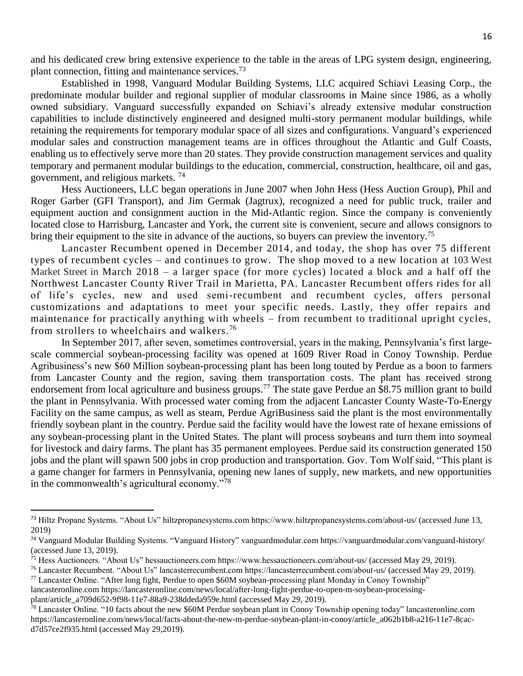and his dedicated crew bring extensive experience to the table in the areas of LPG system design, engineering, plant connection, fitting and maintenance services.<sup>73</sup>

Established in 1998, Vanguard Modular Building Systems, LLC acquired Schiavi Leasing Corp., the predominate modular builder and regional supplier of modular classrooms in Maine since 1986, as a wholly owned subsidiary. Vanguard successfully expanded on Schiavi's already extensive modular construction capabilities to include distinctively engineered and designed multi-story permanent modular buildings, while retaining the requirements for temporary modular space of all sizes and configurations. Vanguard's experienced modular sales and construction management teams are in offices throughout the Atlantic and Gulf Coasts, enabling us to effectively serve more than 20 states. They provide construction management services and quality temporary and permanent modular buildings to the education, commercial, construction, healthcare, oil and gas, government, and religious markets. <sup>74</sup>

Hess Auctioneers, LLC began operations in June 2007 when John Hess (Hess Auction Group), Phil and Roger Garber (GFI Transport), and Jim Germak (Jagtrux), recognized a need for public truck, trailer and equipment auction and consignment auction in the Mid-Atlantic region. Since the company is conveniently located close to Harrisburg, Lancaster and York, the current site is convenient, secure and allows consignors to bring their equipment to the site in advance of the auctions, so buyers can preview the inventory.<sup>75</sup>

Lancaster Recumbent opened in December 2014, and today, the shop has over 75 different types of recumbent cycles – and continues to grow. The shop moved to a new location at 103 West Market Street in March 2018 – a larger space (for more cycles) located a block and a half off the Northwest Lancaster County River Trail in Marietta, PA. Lancaster Recumbent offers rides for all of life's cycles, new and used semi-recumbent and recumbent cycles, offers personal customizations and adaptations to meet your specific needs. Lastly, they offer repairs and maintenance for practically anything with wheels – from recumbent to traditional upright cycles, from strollers to wheelchairs and walkers. <sup>76</sup>

In September 2017, after seven, sometimes controversial, years in the making, Pennsylvania's first largescale commercial soybean-processing facility was opened at 1609 River Road in Conoy Township. Perdue Agribusiness's new \$60 Million soybean-processing plant has been long touted by Perdue as a boon to farmers from Lancaster County and the region, saving them transportation costs. The plant has received strong endorsement from local agriculture and business groups.<sup>77</sup> The state gave Perdue an \$8.75 million grant to build the plant in Pennsylvania. With processed water coming from the adjacent Lancaster County Waste-To-Energy Facility on the same campus, as well as steam, Perdue AgriBusiness said the plant is the most environmentally friendly soybean plant in the country. Perdue said the facility would have the lowest rate of hexane emissions of any soybean-processing plant in the United States. The plant will process soybeans and turn them into soymeal for livestock and dairy farms. The plant has 35 permanent employees. Perdue said its construction generated 150 jobs and the plant will spawn 500 jobs in crop production and transportation. Gov. Tom Wolf said, "This plant is a game changer for farmers in Pennsylvania, opening new lanes of supply, new markets, and new opportunities in the commonwealth's agricultural economy."<sup>78</sup>

<sup>73</sup> Hiltz Propane Systems. "About Us" hiltzpropanesystems.com https://www.hiltzpropanesystems.com/about-us/ (accessed June 13, 2019)

<sup>74</sup> Vanguard Modular Building Systems. "Vanguard History" vanguardmodular.com https://vanguardmodular.com/vanguard-history/ (accessed June 13, 2019).

<sup>75</sup> Hess Auctioneers. "About Us" hessauctioneers.com https://www.hessauctioneers.com/about-us/ (accessed May 29, 2019).

<sup>76</sup> Lancaster Recumbent. "About Us" lancasterrecumbent.com https://lancasterrecumbent.com/about-us/ (accessed May 29, 2019).

<sup>77</sup> Lancaster Online. "After long fight, Perdue to open \$60M soybean-processing plant Monday in Conoy Township" lancasteronline.com https://lancasteronline.com/news/local/after-long-fight-perdue-to-open-m-soybean-processingplant/article\_a709d652-9f98-11e7-88a9-238ddeda959e.html (accessed May 29, 2019).

<sup>&</sup>lt;sup>78</sup> Lancaster Online. "10 facts about the new \$60M Perdue soybean plant in Conoy Township opening today" lancasteronline.com https://lancasteronline.com/news/local/facts-about-the-new-m-perdue-soybean-plant-in-conoy/article\_a062b1b8-a216-11e7-8cacd7d57ce2f935.html (accessed May 29,2019).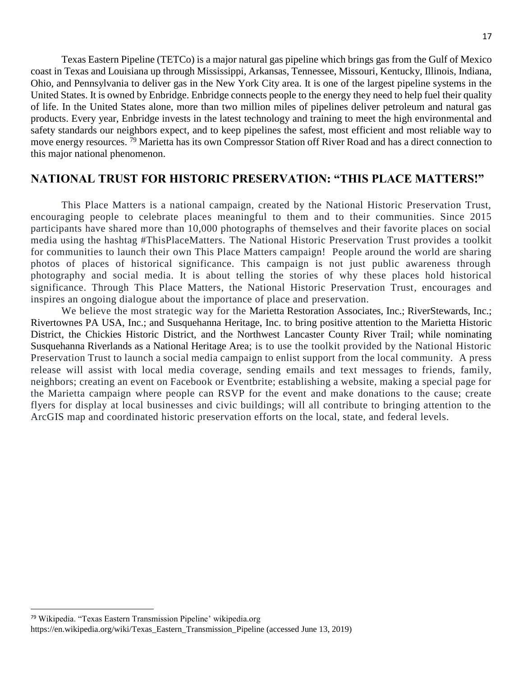Texas Eastern Pipeline (TETCo) is a major natural gas pipeline which brings gas from the Gulf of Mexico coast in Texas and Louisiana up through Mississippi, Arkansas, Tennessee, Missouri, Kentucky, Illinois, Indiana, Ohio, and Pennsylvania to deliver gas in the New York City area. It is one of the largest pipeline systems in the United States. It is owned by Enbridge. Enbridge connects people to the energy they need to help fuel their quality of life. In the United States alone, more than two million miles of pipelines deliver petroleum and natural gas products. Every year, Enbridge invests in the latest technology and training to meet the high environmental and safety standards our neighbors expect, and to keep pipelines the safest, most efficient and most reliable way to move energy resources. <sup>79</sup> Marietta has its own Compressor Station off River Road and has a direct connection to this major national phenomenon.

#### **NATIONAL TRUST FOR HISTORIC PRESERVATION: "THIS PLACE MATTERS!"**

This Place Matters is a national campaign, created by the National Historic Preservation Trust, encouraging people to celebrate places meaningful to them and to their communities. Since 2015 participants have shared more than 10,000 photographs of themselves and their favorite places on social media using the hashtag #ThisPlaceMatters. The National Historic Preservation Trust provides a toolkit for communities to launch their own This Place Matters campaign! People around the world are sharing photos of places of historical significance. This campaign is not just public awareness through photography and social media. It is about telling the stories of why these places hold historical significance. Through This Place Matters, the National Historic Preservation Trust, encourages and inspires an ongoing dialogue about the importance of place and preservation.

We believe the most strategic way for the Marietta Restoration Associates, Inc.; RiverStewards, Inc.; Rivertownes PA USA, Inc.; and Susquehanna Heritage, Inc. to bring positive attention to the Marietta Historic District, the Chickies Historic District, and the Northwest Lancaster County River Trail; while nominating Susquehanna Riverlands as a National Heritage Area; is to use the toolkit provided by the National Historic Preservation Trust to launch a social media campaign to enlist support from the local community. A press release will assist with local media coverage, sending emails and text messages to friends, family, neighbors; creating an event on Facebook or Eventbrite; establishing a website, making a special page for the Marietta campaign where people can RSVP for the event and make donations to the cause; create flyers for display at local businesses and civic buildings; will all contribute to bringing attention to the ArcGIS map and coordinated historic preservation efforts on the local, state, and federal levels.

<sup>79</sup> Wikipedia. "Texas Eastern Transmission Pipeline' wikipedia.org https://en.wikipedia.org/wiki/Texas\_Eastern\_Transmission\_Pipeline (accessed June 13, 2019)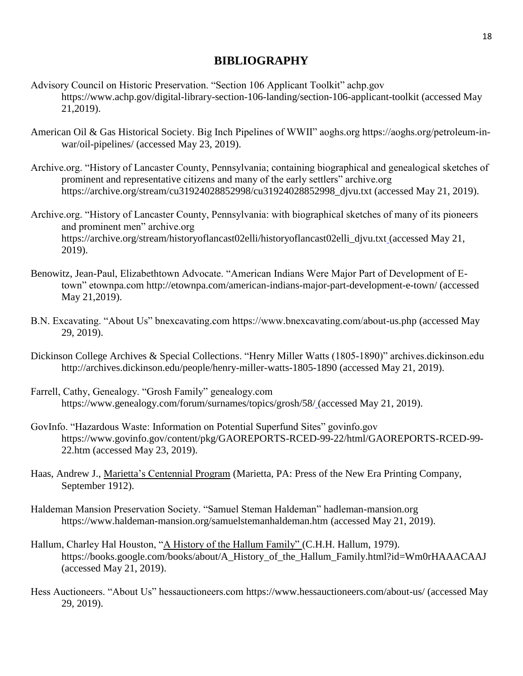# **BIBLIOGRAPHY**

- Advisory Council on Historic Preservation. "Section 106 Applicant Toolkit" achp.gov https://www.achp.gov/digital-library-section-106-landing/section-106-applicant-toolkit (accessed May 21,2019).
- American Oil & Gas Historical Society. Big Inch Pipelines of WWII" aoghs.org https://aoghs.org/petroleum-inwar/oil-pipelines/ (accessed May 23, 2019).
- Archive.org. "History of Lancaster County, Pennsylvania; containing biographical and genealogical sketches of prominent and representative citizens and many of the early settlers" archive.org https://archive.org/stream/cu31924028852998/cu31924028852998\_djvu.txt (accessed May 21, 2019).
- Archive.org. "History of Lancaster County, Pennsylvania: with biographical sketches of many of its pioneers and prominent men" archive.org https://archive.org/stream/historyoflancast02elli/historyoflancast02elli\_djvu.txt (accessed May 21, 2019).
- Benowitz, Jean-Paul, Elizabethtown Advocate. "American Indians Were Major Part of Development of Etown" etownpa.com http://etownpa.com/american-indians-major-part-development-e-town/ (accessed May 21,2019).
- B.N. Excavating. "About Us" bnexcavating.com https://www.bnexcavating.com/about-us.php (accessed May 29, 2019).
- Dickinson College Archives & Special Collections. "Henry Miller Watts (1805-1890)" archives.dickinson.edu http://archives.dickinson.edu/people/henry-miller-watts-1805-1890 (accessed May 21, 2019).
- Farrell, Cathy, Genealogy. "Grosh Family" genealogy.com https://www.genealogy.com/forum/surnames/topics/grosh/58/ (accessed May 21, 2019).
- GovInfo. "Hazardous Waste: Information on Potential Superfund Sites" govinfo.gov https://www.govinfo.gov/content/pkg/GAOREPORTS-RCED-99-22/html/GAOREPORTS-RCED-99- 22.htm (accessed May 23, 2019).
- Haas, Andrew J., Marietta's Centennial Program (Marietta, PA: Press of the New Era Printing Company, September 1912).
- Haldeman Mansion Preservation Society. "Samuel Steman Haldeman" hadleman-mansion.org https://www.haldeman-mansion.org/samuelstemanhaldeman.htm (accessed May 21, 2019).
- Hallum, Charley Hal Houston, "A History of the Hallum Family" (C.H.H. Hallum, 1979). https://books.google.com/books/about/A\_History\_of\_the\_Hallum\_Family.html?id=Wm0rHAAACAAJ (accessed May 21, 2019).
- Hess Auctioneers. "About Us" hessauctioneers.com https://www.hessauctioneers.com/about-us/ (accessed May 29, 2019).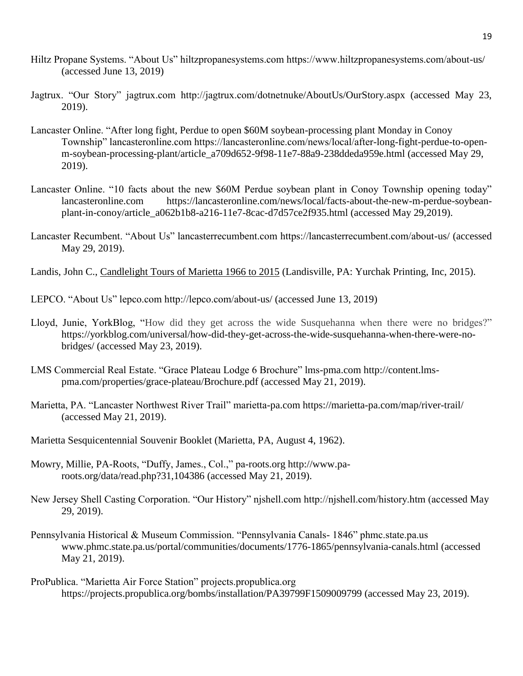- Hiltz Propane Systems. "About Us" hiltzpropanesystems.com https://www.hiltzpropanesystems.com/about-us/ (accessed June 13, 2019)
- Jagtrux. "Our Story" jagtrux.com http://jagtrux.com/dotnetnuke/AboutUs/OurStory.aspx (accessed May 23, 2019).
- Lancaster Online. "After long fight, Perdue to open \$60M soybean-processing plant Monday in Conoy Township" lancasteronline.com https://lancasteronline.com/news/local/after-long-fight-perdue-to-openm-soybean-processing-plant/article\_a709d652-9f98-11e7-88a9-238ddeda959e.html (accessed May 29, 2019).
- Lancaster Online. "10 facts about the new \$60M Perdue soybean plant in Conoy Township opening today" lancasteronline.com https://lancasteronline.com/news/local/facts-about-the-new-m-perdue-soybeanplant-in-conoy/article\_a062b1b8-a216-11e7-8cac-d7d57ce2f935.html (accessed May 29,2019).
- Lancaster Recumbent. "About Us" lancasterrecumbent.com https://lancasterrecumbent.com/about-us/ (accessed May 29, 2019).

Landis, John C., Candlelight Tours of Marietta 1966 to 2015 (Landisville, PA: Yurchak Printing, Inc, 2015).

LEPCO. "About Us" lepco.com http://lepco.com/about-us/ (accessed June 13, 2019)

- Lloyd, Junie, YorkBlog, "How did they get across the wide Susquehanna when there were no bridges?" https://yorkblog.com/universal/how-did-they-get-across-the-wide-susquehanna-when-there-were-nobridges/ (accessed May 23, 2019).
- LMS Commercial Real Estate. "Grace Plateau Lodge 6 Brochure" lms-pma.com http://content.lmspma.com/properties/grace-plateau/Brochure.pdf (accessed May 21, 2019).
- Marietta, PA. "Lancaster Northwest River Trail" marietta-pa.com https://marietta-pa.com/map/river-trail/ (accessed May 21, 2019).

Marietta Sesquicentennial Souvenir Booklet (Marietta, PA, August 4, 1962).

- Mowry, Millie, PA-Roots, "Duffy, James., Col.," pa-roots.org http://www.paroots.org/data/read.php?31,104386 (accessed May 21, 2019).
- New Jersey Shell Casting Corporation. "Our History" njshell.com http://njshell.com/history.htm (accessed May 29, 2019).
- Pennsylvania Historical & Museum Commission. "Pennsylvania Canals- 1846" phmc.state.pa.us www.phmc.state.pa.us/portal/communities/documents/1776-1865/pennsylvania-canals.html (accessed May 21, 2019).
- ProPublica. "Marietta Air Force Station" projects.propublica.org https://projects.propublica.org/bombs/installation/PA39799F1509009799 (accessed May 23, 2019).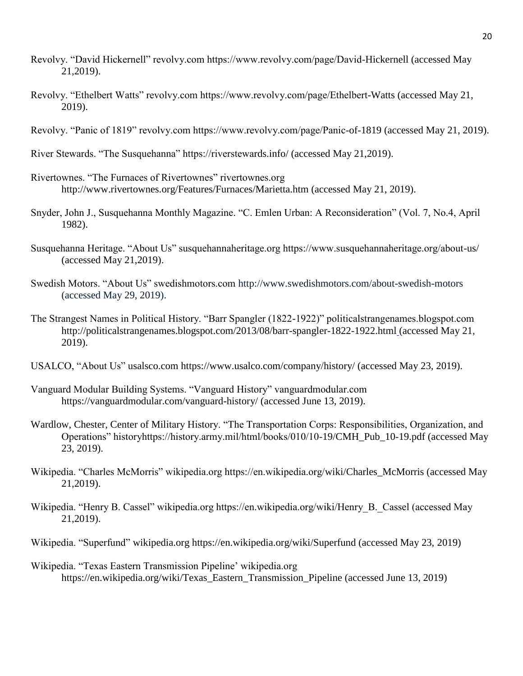- Revolvy. "David Hickernell" revolvy.com https://www.revolvy.com/page/David-Hickernell (accessed May 21,2019).
- Revolvy. "Ethelbert Watts" revolvy.com https://www.revolvy.com/page/Ethelbert-Watts (accessed May 21, 2019).
- Revolvy. "Panic of 1819" revolvy.com https://www.revolvy.com/page/Panic-of-1819 (accessed May 21, 2019).
- River Stewards. "The Susquehanna" https://riverstewards.info/ (accessed May 21,2019).
- Rivertownes. "The Furnaces of Rivertownes" rivertownes.org http://www.rivertownes.org/Features/Furnaces/Marietta.htm (accessed May 21, 2019).
- Snyder, John J., Susquehanna Monthly Magazine. "C. Emlen Urban: A Reconsideration" (Vol. 7, No.4, April 1982).
- Susquehanna Heritage. "About Us" susquehannaheritage.org https://www.susquehannaheritage.org/about-us/ (accessed May 21,2019).
- Swedish Motors. "About Us" swedishmotors.com http://www.swedishmotors.com/about-swedish-motors (accessed May 29, 2019).
- The Strangest Names in Political History. "Barr Spangler (1822-1922)" politicalstrangenames.blogspot.com http://politicalstrangenames.blogspot.com/2013/08/barr-spangler-1822-1922.html (accessed May 21, 2019).
- USALCO, "About Us" usalsco.com https://www.usalco.com/company/history/ (accessed May 23, 2019).
- Vanguard Modular Building Systems. "Vanguard History" vanguardmodular.com https://vanguardmodular.com/vanguard-history/ (accessed June 13, 2019).
- Wardlow, Chester, Center of Military History. "The Transportation Corps: Responsibilities, Organization, and Operations" historyhttps://history.army.mil/html/books/010/10-19/CMH\_Pub\_10-19.pdf (accessed May 23, 2019).
- Wikipedia. "Charles McMorris" wikipedia.org https://en.wikipedia.org/wiki/Charles\_McMorris (accessed May 21,2019).
- Wikipedia. "Henry B. Cassel" wikipedia.org https://en.wikipedia.org/wiki/Henry\_B.\_Cassel (accessed May 21,2019).
- Wikipedia. "Superfund" wikipedia.org https://en.wikipedia.org/wiki/Superfund (accessed May 23, 2019)
- Wikipedia. "Texas Eastern Transmission Pipeline' wikipedia.org https://en.wikipedia.org/wiki/Texas\_Eastern\_Transmission\_Pipeline (accessed June 13, 2019)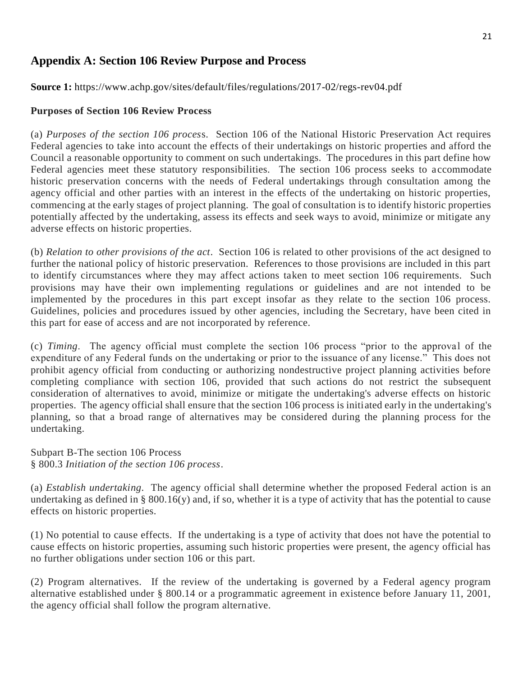# **Appendix A: Section 106 Review Purpose and Process**

## **Source 1:** https://www.achp.gov/sites/default/files/regulations/2017-02/regs-rev04.pdf

#### **Purposes of Section 106 Review Process**

(a) *Purposes of the section 106 proces*s. Section 106 of the National Historic Preservation Act requires Federal agencies to take into account the effects of their undertakings on historic properties and afford the Council a reasonable opportunity to comment on such undertakings. The procedures in this part define how Federal agencies meet these statutory responsibilities. The section 106 process seeks to accommodate historic preservation concerns with the needs of Federal undertakings through consultation among the agency official and other parties with an interest in the effects of the undertaking on historic properties, commencing at the early stages of project planning. The goal of consultation is to identify historic properties potentially affected by the undertaking, assess its effects and seek ways to avoid, minimize or mitigate any adverse effects on historic properties.

(b) *Relation to other provisions of the act*. Section 106 is related to other provisions of the act designed to further the national policy of historic preservation. References to those provisions are included in this part to identify circumstances where they may affect actions taken to meet section 106 requirements. Such provisions may have their own implementing regulations or guidelines and are not intended to be implemented by the procedures in this part except insofar as they relate to the section 106 process. Guidelines, policies and procedures issued by other agencies, including the Secretary, have been cited in this part for ease of access and are not incorporated by reference.

(c) *Timing*. The agency official must complete the section 106 process "prior to the approval of the expenditure of any Federal funds on the undertaking or prior to the issuance of any license." This does not prohibit agency official from conducting or authorizing nondestructive project planning activities before completing compliance with section 106, provided that such actions do not restrict the subsequent consideration of alternatives to avoid, minimize or mitigate the undertaking's adverse effects on historic properties. The agency official shall ensure that the section 106 process is initiated early in the undertaking's planning, so that a broad range of alternatives may be considered during the planning process for the undertaking.

Subpart B-The section 106 Process § 800.3 *Initiation of the section 106 process*.

(a) *Establish undertaking*. The agency official shall determine whether the proposed Federal action is an undertaking as defined in § 800.16(y) and, if so, whether it is a type of activity that has the potential to cause effects on historic properties.

(1) No potential to cause effects. If the undertaking is a type of activity that does not have the potential to cause effects on historic properties, assuming such historic properties were present, the agency official has no further obligations under section 106 or this part.

(2) Program alternatives. If the review of the undertaking is governed by a Federal agency program alternative established under § 800.14 or a programmatic agreement in existence before January 11, 2001, the agency official shall follow the program alternative.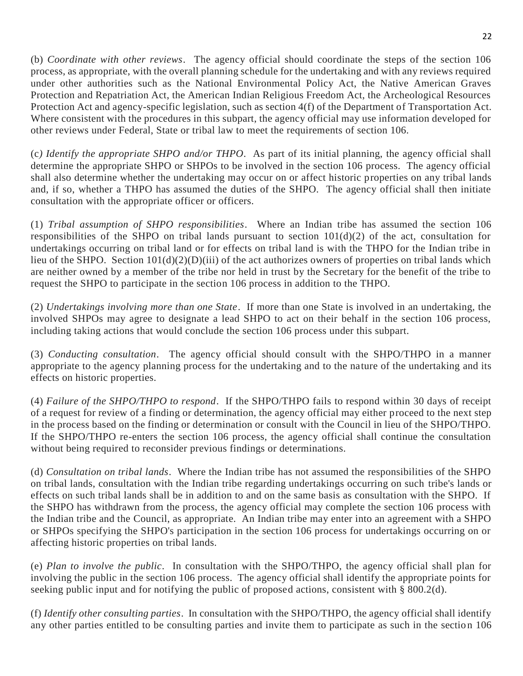(b) *Coordinate with other reviews*. The agency official should coordinate the steps of the section 106 process, as appropriate, with the overall planning schedule for the undertaking and with any reviews required under other authorities such as the National Environmental Policy Act, the Native American Graves Protection and Repatriation Act, the American Indian Religious Freedom Act, the Archeological Resources Protection Act and agency-specific legislation, such as section 4(f) of the Department of Transportation Act. Where consistent with the procedures in this subpart, the agency official may use information developed for other reviews under Federal, State or tribal law to meet the requirements of section 106.

(c*) Identify the appropriate SHPO and/or THPO*. As part of its initial planning, the agency official shall determine the appropriate SHPO or SHPOs to be involved in the section 106 process. The agency official shall also determine whether the undertaking may occur on or affect historic properties on any tribal lands and, if so, whether a THPO has assumed the duties of the SHPO. The agency official shall then initiate consultation with the appropriate officer or officers.

(1) *Tribal assumption of SHPO responsibilities*. Where an Indian tribe has assumed the section 106 responsibilities of the SHPO on tribal lands pursuant to section 101(d)(2) of the act, consultation for undertakings occurring on tribal land or for effects on tribal land is with the THPO for the Indian tribe in lieu of the SHPO. Section  $101(d)(2)(D)(iii)$  of the act authorizes owners of properties on tribal lands which are neither owned by a member of the tribe nor held in trust by the Secretary for the benefit of the tribe to request the SHPO to participate in the section 106 process in addition to the THPO.

(2) *Undertakings involving more than one State*. If more than one State is involved in an undertaking, the involved SHPOs may agree to designate a lead SHPO to act on their behalf in the section 106 process, including taking actions that would conclude the section 106 process under this subpart.

(3) *Conducting consultation*. The agency official should consult with the SHPO/THPO in a manner appropriate to the agency planning process for the undertaking and to the nature of the undertaking and its effects on historic properties.

(4) *Failure of the SHPO/THPO to respond*. If the SHPO/THPO fails to respond within 30 days of receipt of a request for review of a finding or determination, the agency official may either proceed to the next step in the process based on the finding or determination or consult with the Council in lieu of the SHPO/THPO. If the SHPO/THPO re-enters the section 106 process, the agency official shall continue the consultation without being required to reconsider previous findings or determinations.

(d) *Consultation on tribal lands*. Where the Indian tribe has not assumed the responsibilities of the SHPO on tribal lands, consultation with the Indian tribe regarding undertakings occurring on such tribe's lands or effects on such tribal lands shall be in addition to and on the same basis as consultation with the SHPO. If the SHPO has withdrawn from the process, the agency official may complete the section 106 process with the Indian tribe and the Council, as appropriate. An Indian tribe may enter into an agreement with a SHPO or SHPOs specifying the SHPO's participation in the section 106 process for undertakings occurring on or affecting historic properties on tribal lands.

(e) *Plan to involve the public*. In consultation with the SHPO/THPO, the agency official shall plan for involving the public in the section 106 process. The agency official shall identify the appropriate points for seeking public input and for notifying the public of proposed actions, consistent with § 800.2(d).

(f) *Identify other consulting parties*. In consultation with the SHPO/THPO, the agency official shall identify any other parties entitled to be consulting parties and invite them to participate as such in the section 106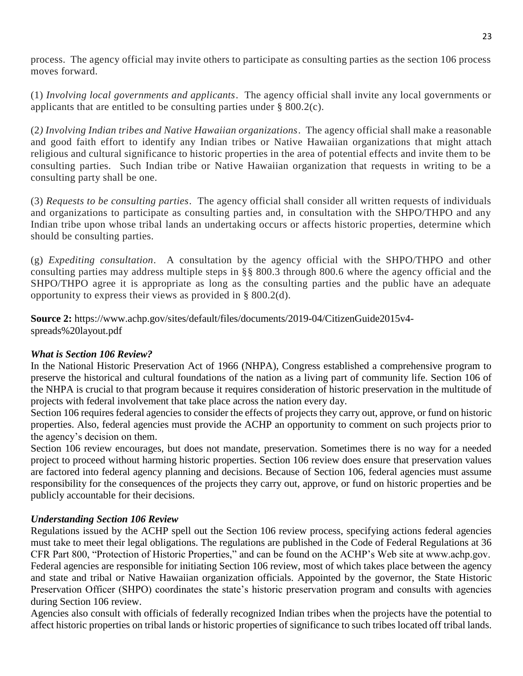process. The agency official may invite others to participate as consulting parties as the section 106 process moves forward.

(1) *Involving local governments and applicants*. The agency official shall invite any local governments or applicants that are entitled to be consulting parties under § 800.2(c).

(2*) Involving Indian tribes and Native Hawaiian organizations*. The agency official shall make a reasonable and good faith effort to identify any Indian tribes or Native Hawaiian organizations that might attach religious and cultural significance to historic properties in the area of potential effects and invite them to be consulting parties. Such Indian tribe or Native Hawaiian organization that requests in writing to be a consulting party shall be one.

(3) *Requests to be consulting parties*. The agency official shall consider all written requests of individuals and organizations to participate as consulting parties and, in consultation with the SHPO/THPO and any Indian tribe upon whose tribal lands an undertaking occurs or affects historic properties, determine which should be consulting parties.

(g) *Expediting consultation*. A consultation by the agency official with the SHPO/THPO and other consulting parties may address multiple steps in §§ 800.3 through 800.6 where the agency official and the SHPO/THPO agree it is appropriate as long as the consulting parties and the public have an adequate opportunity to express their views as provided in § 800.2(d).

**Source 2:** https://www.achp.gov/sites/default/files/documents/2019-04/CitizenGuide2015v4 spreads%20layout.pdf

#### *What is Section 106 Review?*

In the National Historic Preservation Act of 1966 (NHPA), Congress established a comprehensive program to preserve the historical and cultural foundations of the nation as a living part of community life. Section 106 of the NHPA is crucial to that program because it requires consideration of historic preservation in the multitude of projects with federal involvement that take place across the nation every day.

Section 106 requires federal agencies to consider the effects of projects they carry out, approve, or fund on historic properties. Also, federal agencies must provide the ACHP an opportunity to comment on such projects prior to the agency's decision on them.

Section 106 review encourages, but does not mandate, preservation. Sometimes there is no way for a needed project to proceed without harming historic properties. Section 106 review does ensure that preservation values are factored into federal agency planning and decisions. Because of Section 106, federal agencies must assume responsibility for the consequences of the projects they carry out, approve, or fund on historic properties and be publicly accountable for their decisions.

#### *Understanding Section 106 Review*

Regulations issued by the ACHP spell out the Section 106 review process, specifying actions federal agencies must take to meet their legal obligations. The regulations are published in the Code of Federal Regulations at 36 CFR Part 800, "Protection of Historic Properties," and can be found on the ACHP's Web site at www.achp.gov. Federal agencies are responsible for initiating Section 106 review, most of which takes place between the agency and state and tribal or Native Hawaiian organization officials. Appointed by the governor, the State Historic Preservation Officer (SHPO) coordinates the state's historic preservation program and consults with agencies during Section 106 review.

Agencies also consult with officials of federally recognized Indian tribes when the projects have the potential to affect historic properties on tribal lands or historic properties of significance to such tribes located off tribal lands.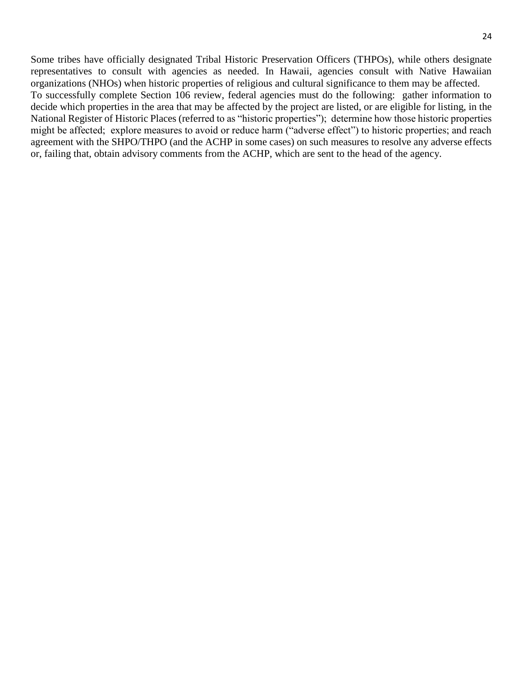Some tribes have officially designated Tribal Historic Preservation Officers (THPOs), while others designate representatives to consult with agencies as needed. In Hawaii, agencies consult with Native Hawaiian organizations (NHOs) when historic properties of religious and cultural significance to them may be affected. To successfully complete Section 106 review, federal agencies must do the following: gather information to decide which properties in the area that may be affected by the project are listed, or are eligible for listing, in the National Register of Historic Places (referred to as "historic properties"); determine how those historic properties might be affected; explore measures to avoid or reduce harm ("adverse effect") to historic properties; and reach agreement with the SHPO/THPO (and the ACHP in some cases) on such measures to resolve any adverse effects or, failing that, obtain advisory comments from the ACHP, which are sent to the head of the agency.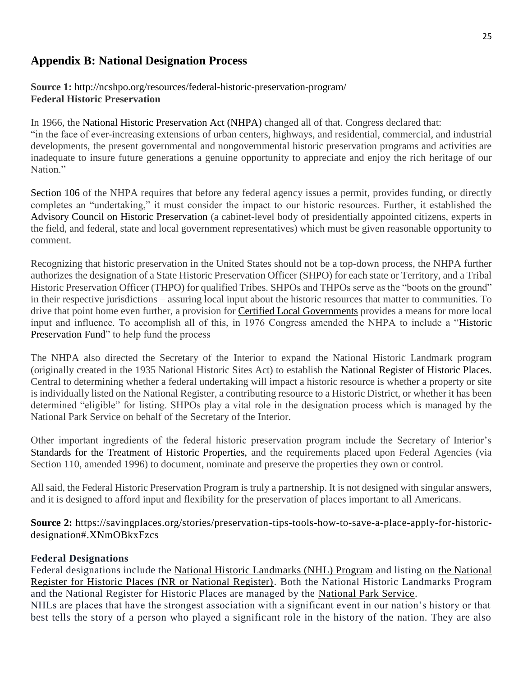# **Appendix B: National Designation Process**

#### **Source 1:** http://ncshpo.org/resources/federal-historic-preservation-program/ **Federal Historic Preservation**

In 1966, the National Historic Preservation Act (NHPA) changed all of that. Congress declared that: "in the face of ever-increasing extensions of urban centers, highways, and residential, commercial, and industrial developments, the present governmental and nongovernmental historic preservation programs and activities are inadequate to insure future generations a genuine opportunity to appreciate and enjoy the rich heritage of our Nation."

Section 106 of the NHPA requires that before any federal agency issues a permit, provides funding, or directly completes an "undertaking," it must consider the impact to our historic resources. Further, it established the Advisory Council on Historic Preservation (a cabinet-level body of presidentially appointed citizens, experts in the field, and federal, state and local government representatives) which must be given reasonable opportunity to comment.

Recognizing that historic preservation in the United States should not be a top-down process, the NHPA further authorizes the designation of a State Historic Preservation Officer (SHPO) for each state or Territory, and a Tribal Historic Preservation Officer (THPO) for qualified Tribes. SHPOs and THPOs serve as the "boots on the ground" in their respective jurisdictions – assuring local input about the historic resources that matter to communities. To drive that point home even further, a provision for [Certified Local Governments](https://www.nps.gov/CLG/) provides a means for more local input and influence. To accomplish all of this, in 1976 Congress amended the NHPA to include a "Historic Preservation Fund" to help fund the process

The NHPA also directed the Secretary of the Interior to expand the National Historic Landmark program (originally created in the 1935 National Historic Sites Act) to establish the National Register of Historic Places. Central to determining whether a federal undertaking will impact a historic resource is whether a property or site is individually listed on the National Register, a contributing resource to a Historic District, or whether it has been determined "eligible" for listing. SHPOs play a vital role in the designation process which is managed by the National Park Service on behalf of the Secretary of the Interior.

Other important ingredients of the federal historic preservation program include the Secretary of Interior's Standards for the Treatment of Historic Properties, and the requirements placed upon Federal Agencies (via Section 110, amended 1996) to document, nominate and preserve the properties they own or control.

All said, the Federal Historic Preservation Program is truly a partnership. It is not designed with singular answers, and it is designed to afford input and flexibility for the preservation of places important to all Americans.

**Source 2:** https://savingplaces.org/stories/preservation-tips-tools-how-to-save-a-place-apply-for-historicdesignation#.XNmOBkxFzcs

#### **Federal Designations**

Federal designations include the National Historic Landmarks (NHL) Program and listing on [the National](http://www.nps.gov/nr/)  [Register for Historic Places \(NR or National Register\).](http://www.nps.gov/nr/) Both the National Historic Landmarks Program and the National Register for Historic Places are managed by the National Park Service.

NHLs are places that have the strongest association with a significant event in our nation's history or that best tells the story of a person who played a significant role in the history of the nation. They are also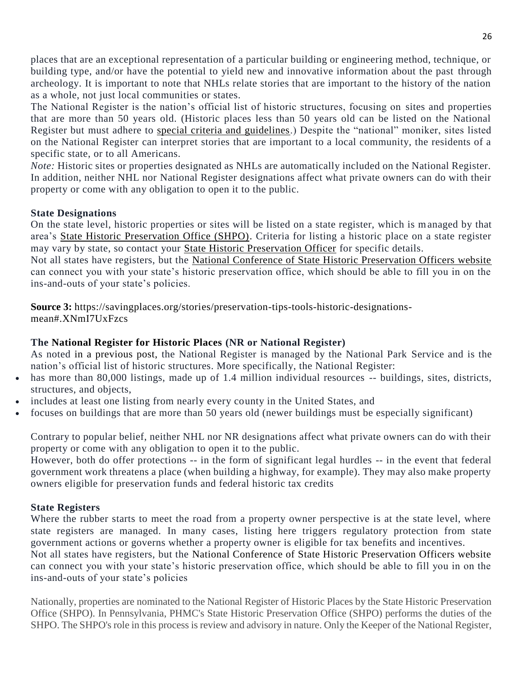places that are an exceptional representation of a particular building or engineering method, technique, or building type, and/or have the potential to yield new and innovative information about the past through archeology. It is important to note that NHLs relate stories that are important to the history of the nation as a whole, not just local communities or states.

The National Register is the nation's official list of historic structures, focusing on sites and properties that are more than 50 years old. (Historic places less than 50 years old can be listed on the National Register but must adhere to special criteria and guidelines.) Despite the "national" moniker, sites listed on the National Register can interpret stories that are important to a local community, the residents of a specific state, or to all Americans.

*Note:* Historic sites or properties designated as NHLs are automatically included on the National Register. In addition, neither NHL nor National Register designations affect what private owners can do with their property or come with any obligation to open it to the public.

#### **State Designations**

On the state level, historic properties or sites will be listed on a state register, which is managed by that area's State Historic Preservation Office (SHPO). Criteria for listing a historic place on a state register may vary by state, so contact your **State Historic Preservation Officer** for specific details.

Not all states have registers, but the National Conference of State Historic Preservation Officers website can connect you with your state's historic preservation office, which should be able to fill you in on the ins-and-outs of your state's policies.

**Source 3:** https://savingplaces.org/stories/preservation-tips-tools-historic-designationsmean#.XNmI7UxFzcs

#### **The National Register for Historic Places (NR or National Register)**

As noted in a previous post, the National Register is managed by the National Park Service and is the nation's official list of historic structures. More specifically, the National Register:

- has more than 80,000 listings, made up of 1.4 million individual resources -- buildings, sites, districts, structures, and objects,
- includes at least one listing from nearly every county in the United States, and
- focuses on buildings that are more than 50 years old (newer buildings must be especially significant)

Contrary to popular belief, neither NHL nor NR designations affect what private owners can do with their property or come with any obligation to open it to the public.

However, both do offer protections -- in the form of significant legal hurdles -- in the event that federal government work threatens a place (when building a highway, for example). They may also make property owners eligible for preservation funds and federal historic tax credits

#### **State Registers**

Where the rubber starts to meet the road from a property owner perspective is at the state level, where state registers are managed. In many cases, listing here triggers regulatory protection from state government actions or governs whether a property owner is eligible for tax benefits and incentives.

Not all states have registers, but the National Conference of State Historic Preservation Officers website can connect you with your state's historic preservation office, which should be able to fill you in on the ins-and-outs of your state's policies

Nationally, properties are nominated to the National Register of Historic Places by the State Historic Preservation Office (SHPO). In Pennsylvania, PHMC's State Historic Preservation Office (SHPO) performs the duties of the SHPO. The SHPO's role in this process is review and advisory in nature. Only the Keeper of the National Register,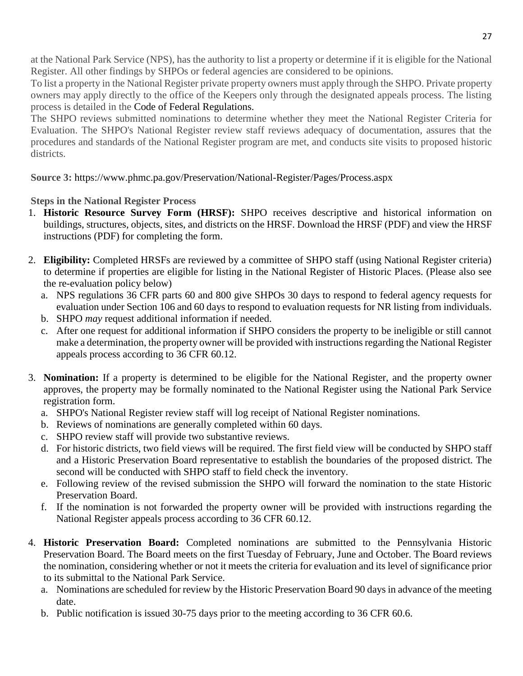at the National Park Service (NPS), has the authority to list a property or determine if it is eligible for the National Register. All other findings by SHPOs or federal agencies are considered to be opinions.

To list a property in the National Register private property owners must apply through the SHPO. Private property owners may apply directly to the office of the Keepers only through the designated appeals process. The listing process is detailed in the Code of Federal Regulations.

The SHPO reviews submitted nominations to determine whether they meet the National Register Criteria for Evaluation. The SHPO's National Register review staff reviews adequacy of documentation, assures that the procedures and standards of the National Register program are met, and conducts site visits to proposed historic districts.

**Source 3:** https://www.phmc.pa.gov/Preservation/National-Register/Pages/Process.aspx

## **Steps in the National Register Process**

- 1. **Historic Resource Survey Form (HRSF):** SHPO receives descriptive and historical information on buildings, structures, objects, sites, and districts on the HRSF. Download the HRSF (PDF) and view the HRSF instructions (PDF) for completing the form.
- 2. **Eligibility:** Completed HRSFs are reviewed by a committee of SHPO staff (using National Register criteria) to determine if properties are eligible for listing in the National Register of Historic Places. (Please also see the re-evaluation policy below)
	- a. NPS regulations 36 CFR parts 60 and 800 give SHPOs 30 days to respond to federal agency requests for evaluation under Section 106 and 60 days to respond to evaluation requests for NR listing from individuals.
	- b. SHPO *may* request additional information if needed.
	- c. After one request for additional information if SHPO considers the property to be ineligible or still cannot make a determination, the property owner will be provided with instructions regarding the National Register appeals process according to 36 CFR 60.12.
- 3. **Nomination:** If a property is determined to be eligible for the National Register, and the property owner approves, the property may be formally nominated to the National Register using the National Park Service registration form.
	- a. SHPO's National Register review staff will log receipt of National Register nominations.
	- b. Reviews of nominations are generally completed within 60 days.
	- c. SHPO review staff will provide two substantive reviews.
	- d. For historic districts, two field views will be required. The first field view will be conducted by SHPO staff and a Historic Preservation Board representative to establish the boundaries of the proposed district. The second will be conducted with SHPO staff to field check the inventory.
	- e. Following review of the revised submission the SHPO will forward the nomination to the state Historic Preservation Board.
	- f. If the nomination is not forwarded the property owner will be provided with instructions regarding the National Register appeals process according to 36 CFR 60.12.
- 4. **Historic Preservation Board:** Completed nominations are submitted to the Pennsylvania Historic Preservation Board. The Board meets on the first Tuesday of February, June and October. The Board reviews the nomination, considering whether or not it meets the criteria for evaluation and its level of significance prior to its submittal to the National Park Service.
	- a. Nominations are scheduled for review by the Historic Preservation Board 90 days in advance of the meeting date.
	- b. Public notification is issued 30-75 days prior to the meeting according to 36 CFR 60.6.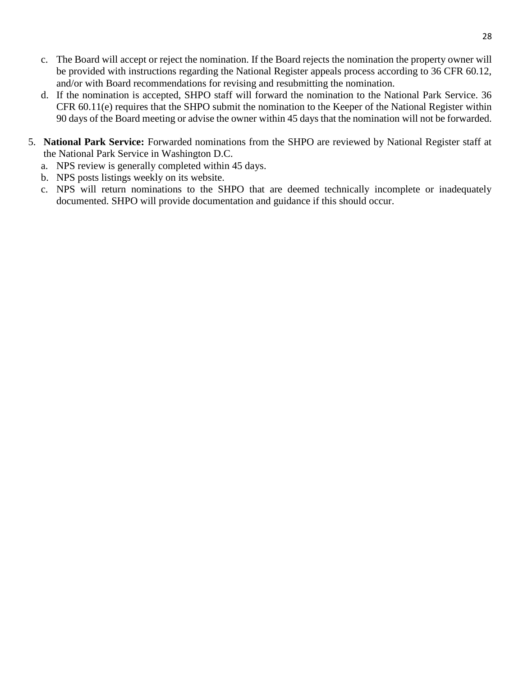- c. The Board will accept or reject the nomination. If the Board rejects the nomination the property owner will be provided with instructions regarding the National Register appeals process according to 36 CFR 60.12, and/or with Board recommendations for revising and resubmitting the nomination.
- d. If the nomination is accepted, SHPO staff will forward the nomination to the National Park Service. 36 CFR 60.11(e) requires that the SHPO submit the nomination to the Keeper of the National Register within 90 days of the Board meeting or advise the owner within 45 days that the nomination will not be forwarded.
- 5. **National Park Service:** Forwarded nominations from the SHPO are reviewed by National Register staff at the National Park Service in Washington D.C.
	- a. NPS review is generally completed within 45 days.
	- b. NPS posts listings weekly on its website.
	- c. NPS will return nominations to the SHPO that are deemed technically incomplete or inadequately documented. SHPO will provide documentation and guidance if this should occur.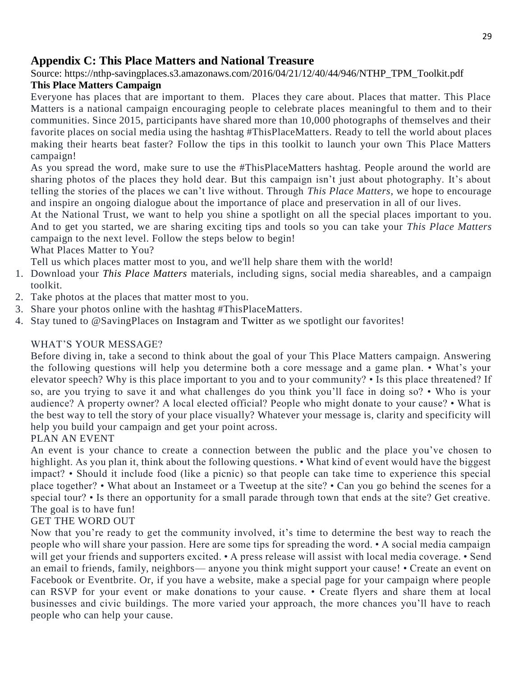## **Appendix C: This Place Matters and National Treasure**

## Source: https://nthp-savingplaces.s3.amazonaws.com/2016/04/21/12/40/44/946/NTHP\_TPM\_Toolkit.pdf

#### **This Place Matters Campaign**

Everyone has places that are important to them. Places they care about. Places that matter. This Place Matters is a national campaign encouraging people to celebrate places meaningful to them and to their communities. Since 2015, participants have shared more than 10,000 photographs of themselves and their favorite places on social media using the hashtag #ThisPlaceMatters. Ready to tell the world about places making their hearts beat faster? Follow the tips in this toolkit to launch your own This Place Matters campaign!

As you spread the word, make sure to use the #ThisPlaceMatters hashtag. People around the world are sharing photos of the places they hold dear. But this campaign isn't just about photography. It's about telling the stories of the places we can't live without. Through *This Place Matters*, we hope to encourage and inspire an ongoing dialogue about the importance of place and preservation in all of our lives.

At the National Trust, we want to help you shine a spotlight on all the special places important to you. And to get you started, we are sharing exciting tips and tools so you can take your *This Place Matters* campaign to the next level. Follow the steps below to begin!

What Places Matter to You?

Tell us which places matter most to you, and we'll help share them with the world!

- 1. Download your *This Place Matters* materials, including signs, social media shareables, and a campaign toolkit.
- 2. Take photos at the places that matter most to you.
- 3. Share your photos online with the hashtag #ThisPlaceMatters.
- 4. Stay tuned to @SavingPlaces on Instagram and Twitter as we spotlight our favorites!

## WHAT'S YOUR MESSAGE?

Before diving in, take a second to think about the goal of your This Place Matters campaign. Answering the following questions will help you determine both a core message and a game plan. • What's your elevator speech? Why is this place important to you and to your community? • Is this place threatened? If so, are you trying to save it and what challenges do you think you'll face in doing so? • Who is your audience? A property owner? A local elected official? People who might donate to your cause? • What is the best way to tell the story of your place visually? Whatever your message is, clarity and specificity will help you build your campaign and get your point across.

#### PLAN AN EVENT

An event is your chance to create a connection between the public and the place you've chosen to highlight. As you plan it, think about the following questions. • What kind of event would have the biggest impact? • Should it include food (like a picnic) so that people can take time to experience this special place together? • What about an Instameet or a Tweetup at the site? • Can you go behind the scenes for a special tour? • Is there an opportunity for a small parade through town that ends at the site? Get creative. The goal is to have fun!

## GET THE WORD OUT

Now that you're ready to get the community involved, it's time to determine the best way to reach the people who will share your passion. Here are some tips for spreading the word. • A social media campaign will get your friends and supporters excited. • A press release will assist with local media coverage. • Send an email to friends, family, neighbors— anyone you think might support your cause! • Create an event on Facebook or Eventbrite. Or, if you have a website, make a special page for your campaign where people can RSVP for your event or make donations to your cause. • Create flyers and share them at local businesses and civic buildings. The more varied your approach, the more chances you'll have to reach people who can help your cause.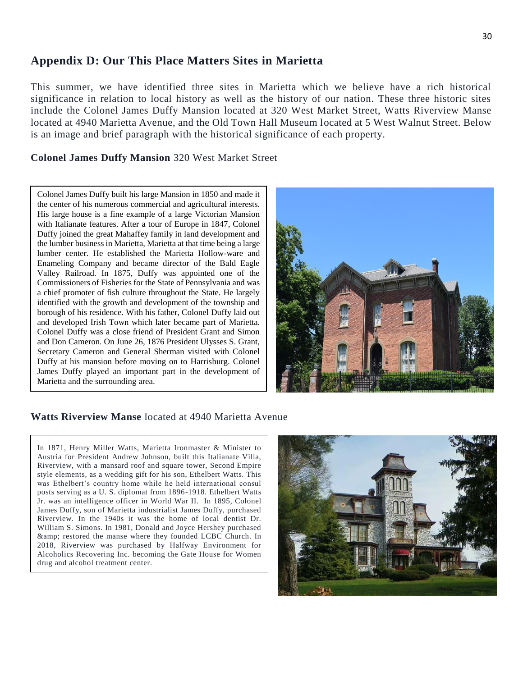## **Appendix D: Our This Place Matters Sites in Marietta**

This summer, we have identified three sites in Marietta which we believe have a rich historical significance in relation to local history as well as the history of our nation. These three historic sites include the Colonel James Duffy Mansion located at 320 West Market Street, Watts Riverview Manse located at 4940 Marietta Avenue, and the Old Town Hall Museum located at 5 West Walnut Street. Below is an image and brief paragraph with the historical significance of each property.

#### **Colonel James Duffy Mansion** 320 West Market Street

Colonel James Duffy built his large Mansion in 1850 and made it the center of his numerous commercial and agricultural interests. His large house is a fine example of a large Victorian Mansion with Italianate features. After a tour of Europe in 1847, Colonel Duffy joined the great Mahaffey family in land development and the lumber business in Marietta, Marietta at that time being a large lumber center. He established the Marietta Hollow-ware and Enameling Company and became director of the Bald Eagle Valley Railroad. In 1875, Duffy was appointed one of the Commissioners of Fisheries for the State of Pennsylvania and was a chief promoter of fish culture throughout the State. He largely identified with the growth and development of the township and borough of his residence. With his father, Colonel Duffy laid out and developed Irish Town which later became part of Marietta. Colonel Duffy was a close friend of President Grant and Simon and Don Cameron. On June 26, 1876 President Ulysses S. Grant, Secretary Cameron and General Sherman visited with Colonel Duffy at his mansion before moving on to Harrisburg. Colonel James Duffy played an important part in the development of Marietta and the surrounding area.



#### **Watts Riverview Manse** located at 4940 Marietta Avenue

In 1871, Henry Miller Watts, Marietta Ironmaster & Minister to Austria for President Andrew Johnson, built this Italianate Villa, Riverview, with a mansard roof and square tower, Second Empire style elements, as a wedding gift for his son, Ethelbert Watts. This was Ethelbert's country home while he held international consul posts serving as a U. S. diplomat from 1896-1918. Ethelbert Watts Jr. was an intelligence officer in World War II. In 1895, Colonel James Duffy, son of Marietta industrialist James Duffy, purchased Riverview. In the 1940s it was the home of local dentist Dr. William S. Simons. In 1981, Donald and Joyce Hershey purchased & amp; restored the manse where they founded LCBC Church. In 2018, Riverview was purchased by Halfway Environment for Alcoholics Recovering Inc. becoming the Gate House for Women drug and alcohol treatment center.

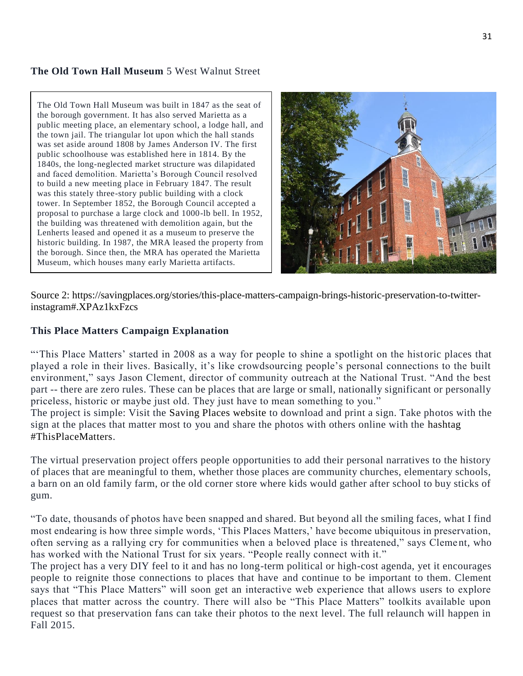#### **The Old Town Hall Museum** 5 West Walnut Street

The Old Town Hall Museum was built in 1847 as the seat of the borough government. It has also served Marietta as a public meeting place, an elementary school, a lodge hall, and the town jail. The triangular lot upon which the hall stands was set aside around 1808 by James Anderson IV. The first public schoolhouse was established here in 1814. By the 1840s, the long-neglected market structure was dilapidated and faced demolition. Marietta's Borough Council resolved to build a new meeting place in February 1847. The result was this stately three-story public building with a clock tower. In September 1852, the Borough Council accepted a proposal to purchase a large clock and 1000-lb bell. In 1952, the building was threatened with demolition again, but the Lenherts leased and opened it as a museum to preserve the historic building. In 1987, the MRA leased the property from the borough. Since then, the MRA has operated the Marietta Museum, which houses many early Marietta artifacts.



Source 2: https://savingplaces.org/stories/this-place-matters-campaign-brings-historic-preservation-to-twitterinstagram#.XPAz1kxFzcs

#### **This Place Matters Campaign Explanation**

"'This Place Matters' started in 2008 as a way for people to shine a spotlight on the historic places that played a role in their lives. Basically, it's like crowdsourcing people's personal connections to the built environment," says Jason Clement, director of community outreach at the National Trust. "And the best part -- there are zero rules. These can be places that are large or small, nationally significant or personally priceless, historic or maybe just old. They just have to mean something to you."

The project is simple: Visit the Saving Places website to download and print a sign. Take photos with the sign at the places that matter most to you and share the photos with others online with the hashtag #ThisPlaceMatters.

The virtual preservation project offers people opportunities to add their personal narratives to the history of places that are meaningful to them, whether those places are community churches, elementary schools, a barn on an old family farm, or the old corner store where kids would gather after school to buy sticks of gum.

"To date, thousands of photos have been snapped and shared. But beyond all the smiling faces, what I find most endearing is how three simple words, 'This Places Matters,' have become ubiquitous in preservation, often serving as a rallying cry for communities when a beloved place is threatened," says Cleme nt, who has worked with the National Trust for six years. "People really connect with it."

The project has a very DIY feel to it and has no long-term political or high-cost agenda, yet it encourages people to reignite those connections to places that have and continue to be important to them. Clement says that "This Place Matters" will soon get an interactive web experience that allows users to explore places that matter across the country. There will also be "This Place Matters" toolkits available upon request so that preservation fans can take their photos to the next level. The full relaunch will happen in Fall 2015.